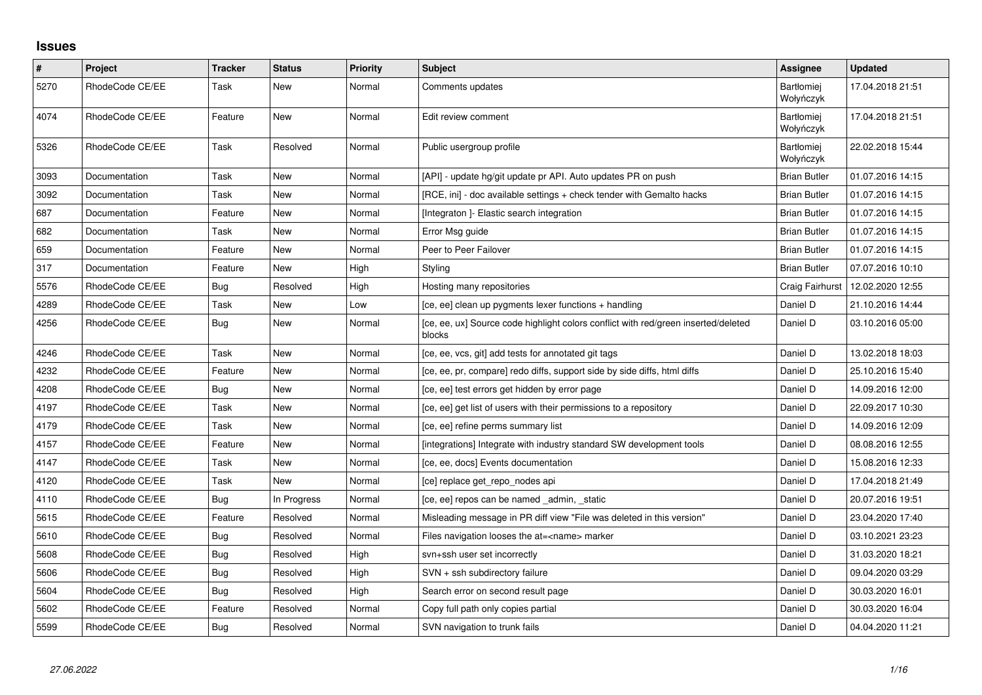## **Issues**

| $\vert$ # | Project         | <b>Tracker</b> | <b>Status</b> | <b>Priority</b> | Subject                                                                                      | Assignee                       | <b>Updated</b>   |
|-----------|-----------------|----------------|---------------|-----------------|----------------------------------------------------------------------------------------------|--------------------------------|------------------|
| 5270      | RhodeCode CE/EE | Task           | <b>New</b>    | Normal          | Comments updates                                                                             | <b>Bartłomiej</b><br>Wołyńczyk | 17.04.2018 21:51 |
| 4074      | RhodeCode CE/EE | Feature        | New           | Normal          | Edit review comment                                                                          | <b>Bartłomiej</b><br>Wołyńczyk | 17.04.2018 21:51 |
| 5326      | RhodeCode CE/EE | Task           | Resolved      | Normal          | Public usergroup profile                                                                     | <b>Bartłomiej</b><br>Wołyńczyk | 22.02.2018 15:44 |
| 3093      | Documentation   | Task           | <b>New</b>    | Normal          | [API] - update hg/git update pr API. Auto updates PR on push                                 | <b>Brian Butler</b>            | 01.07.2016 14:15 |
| 3092      | Documentation   | Task           | New           | Normal          | [RCE, ini] - doc available settings + check tender with Gemalto hacks                        | <b>Brian Butler</b>            | 01.07.2016 14:15 |
| 687       | Documentation   | Feature        | New           | Normal          | [Integraton] - Elastic search integration                                                    | <b>Brian Butler</b>            | 01.07.2016 14:15 |
| 682       | Documentation   | Task           | New           | Normal          | Error Msg guide                                                                              | <b>Brian Butler</b>            | 01.07.2016 14:15 |
| 659       | Documentation   | Feature        | <b>New</b>    | Normal          | Peer to Peer Failover                                                                        | <b>Brian Butler</b>            | 01.07.2016 14:15 |
| 317       | Documentation   | Feature        | New           | High            | Styling                                                                                      | <b>Brian Butler</b>            | 07.07.2016 10:10 |
| 5576      | RhodeCode CE/EE | Bug            | Resolved      | High            | Hosting many repositories                                                                    | Craig Fairhurst                | 12.02.2020 12:55 |
| 4289      | RhodeCode CE/EE | Task           | New           | Low             | [ce, ee] clean up pygments lexer functions + handling                                        | Daniel D                       | 21.10.2016 14:44 |
| 4256      | RhodeCode CE/EE | <b>Bug</b>     | New           | Normal          | [ce, ee, ux] Source code highlight colors conflict with red/green inserted/deleted<br>blocks | Daniel D                       | 03.10.2016 05:00 |
| 4246      | RhodeCode CE/EE | Task           | New           | Normal          | [ce, ee, vcs, git] add tests for annotated git tags                                          | Daniel D                       | 13.02.2018 18:03 |
| 4232      | RhodeCode CE/EE | Feature        | <b>New</b>    | Normal          | [ce, ee, pr, compare] redo diffs, support side by side diffs, html diffs                     | Daniel D                       | 25.10.2016 15:40 |
| 4208      | RhodeCode CE/EE | Bug            | New           | Normal          | [ce, ee] test errors get hidden by error page                                                | Daniel D                       | 14.09.2016 12:00 |
| 4197      | RhodeCode CE/EE | Task           | New           | Normal          | [ce, ee] get list of users with their permissions to a repository                            | Daniel D                       | 22.09.2017 10:30 |
| 4179      | RhodeCode CE/EE | Task           | New           | Normal          | [ce, ee] refine perms summary list                                                           | Daniel D                       | 14.09.2016 12:09 |
| 4157      | RhodeCode CE/EE | Feature        | New           | Normal          | [integrations] Integrate with industry standard SW development tools                         | Daniel D                       | 08.08.2016 12:55 |
| 4147      | RhodeCode CE/EE | Task           | New           | Normal          | [ce, ee, docs] Events documentation                                                          | Daniel D                       | 15.08.2016 12:33 |
| 4120      | RhodeCode CE/EE | Task           | New           | Normal          | [ce] replace get_repo_nodes api                                                              | Daniel D                       | 17.04.2018 21:49 |
| 4110      | RhodeCode CE/EE | Bug            | In Progress   | Normal          | [ce, ee] repos can be named _admin, _static                                                  | Daniel D                       | 20.07.2016 19:51 |
| 5615      | RhodeCode CE/EE | Feature        | Resolved      | Normal          | Misleading message in PR diff view "File was deleted in this version"                        | Daniel D                       | 23.04.2020 17:40 |
| 5610      | RhodeCode CE/EE | <b>Bug</b>     | Resolved      | Normal          | Files navigation looses the at= <name> marker</name>                                         | Daniel D                       | 03.10.2021 23:23 |
| 5608      | RhodeCode CE/EE | Bug            | Resolved      | High            | svn+ssh user set incorrectly                                                                 | Daniel D                       | 31.03.2020 18:21 |
| 5606      | RhodeCode CE/EE | <b>Bug</b>     | Resolved      | High            | SVN + ssh subdirectory failure                                                               | Daniel D                       | 09.04.2020 03:29 |
| 5604      | RhodeCode CE/EE | Bug            | Resolved      | High            | Search error on second result page                                                           | Daniel D                       | 30.03.2020 16:01 |
| 5602      | RhodeCode CE/EE | Feature        | Resolved      | Normal          | Copy full path only copies partial                                                           | Daniel D                       | 30.03.2020 16:04 |
| 5599      | RhodeCode CE/EE | <b>Bug</b>     | Resolved      | Normal          | SVN navigation to trunk fails                                                                | Daniel D                       | 04.04.2020 11:21 |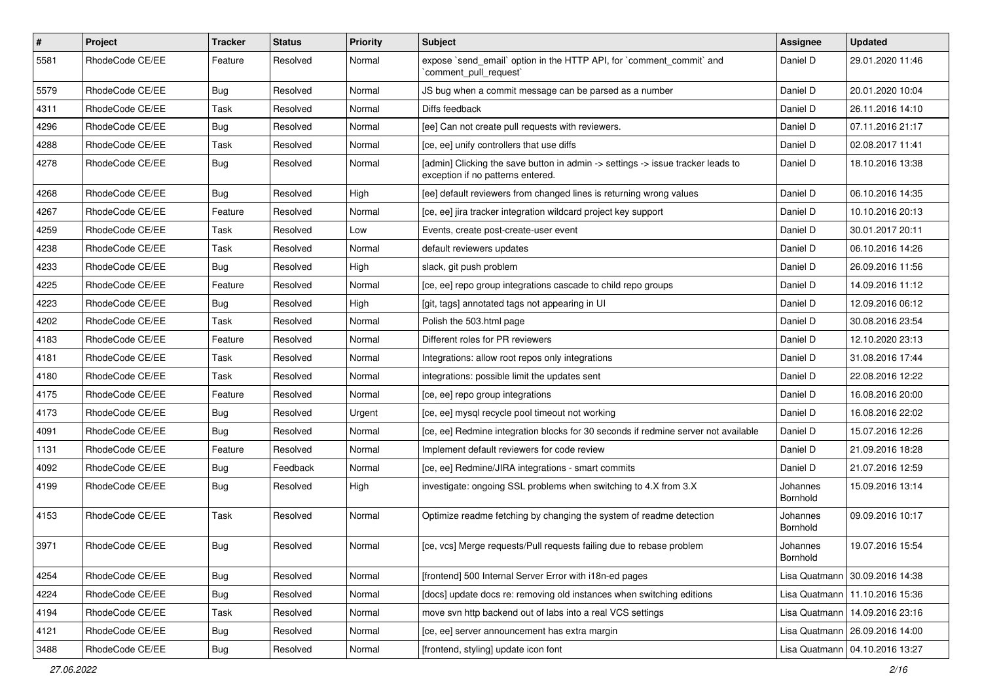| $\pmb{\#}$ | Project         | <b>Tracker</b> | <b>Status</b> | <b>Priority</b> | <b>Subject</b>                                                                                                       | Assignee             | <b>Updated</b>                   |
|------------|-----------------|----------------|---------------|-----------------|----------------------------------------------------------------------------------------------------------------------|----------------------|----------------------------------|
| 5581       | RhodeCode CE/EE | Feature        | Resolved      | Normal          | expose `send email` option in the HTTP API, for `comment commit` and<br>`comment_pull_request`                       | Daniel D             | 29.01.2020 11:46                 |
| 5579       | RhodeCode CE/EE | Bug            | Resolved      | Normal          | JS bug when a commit message can be parsed as a number                                                               | Daniel D             | 20.01.2020 10:04                 |
| 4311       | RhodeCode CE/EE | Task           | Resolved      | Normal          | Diffs feedback                                                                                                       | Daniel D             | 26.11.2016 14:10                 |
| 4296       | RhodeCode CE/EE | <b>Bug</b>     | Resolved      | Normal          | [ee] Can not create pull requests with reviewers.                                                                    | Daniel D             | 07.11.2016 21:17                 |
| 4288       | RhodeCode CE/EE | Task           | Resolved      | Normal          | [ce, ee] unify controllers that use diffs                                                                            | Daniel D             | 02.08.2017 11:41                 |
| 4278       | RhodeCode CE/EE | Bug            | Resolved      | Normal          | [admin] Clicking the save button in admin -> settings -> issue tracker leads to<br>exception if no patterns entered. | Daniel D             | 18.10.2016 13:38                 |
| 4268       | RhodeCode CE/EE | Bug            | Resolved      | High            | [ee] default reviewers from changed lines is returning wrong values                                                  | Daniel D             | 06.10.2016 14:35                 |
| 4267       | RhodeCode CE/EE | Feature        | Resolved      | Normal          | [ce, ee] jira tracker integration wildcard project key support                                                       | Daniel D             | 10.10.2016 20:13                 |
| 4259       | RhodeCode CE/EE | Task           | Resolved      | Low             | Events, create post-create-user event                                                                                | Daniel D             | 30.01.2017 20:11                 |
| 4238       | RhodeCode CE/EE | Task           | Resolved      | Normal          | default reviewers updates                                                                                            | Daniel D             | 06.10.2016 14:26                 |
| 4233       | RhodeCode CE/EE | <b>Bug</b>     | Resolved      | High            | slack, git push problem                                                                                              | Daniel D             | 26.09.2016 11:56                 |
| 4225       | RhodeCode CE/EE | Feature        | Resolved      | Normal          | [ce, ee] repo group integrations cascade to child repo groups                                                        | Daniel D             | 14.09.2016 11:12                 |
| 4223       | RhodeCode CE/EE | Bug            | Resolved      | High            | [git, tags] annotated tags not appearing in UI                                                                       | Daniel D             | 12.09.2016 06:12                 |
| 4202       | RhodeCode CE/EE | Task           | Resolved      | Normal          | Polish the 503.html page                                                                                             | Daniel D             | 30.08.2016 23:54                 |
| 4183       | RhodeCode CE/EE | Feature        | Resolved      | Normal          | Different roles for PR reviewers                                                                                     | Daniel D             | 12.10.2020 23:13                 |
| 4181       | RhodeCode CE/EE | Task           | Resolved      | Normal          | Integrations: allow root repos only integrations                                                                     | Daniel D             | 31.08.2016 17:44                 |
| 4180       | RhodeCode CE/EE | Task           | Resolved      | Normal          | integrations: possible limit the updates sent                                                                        | Daniel D             | 22.08.2016 12:22                 |
| 4175       | RhodeCode CE/EE | Feature        | Resolved      | Normal          | [ce, ee] repo group integrations                                                                                     | Daniel D             | 16.08.2016 20:00                 |
| 4173       | RhodeCode CE/EE | Bug            | Resolved      | Urgent          | [ce, ee] mysql recycle pool timeout not working                                                                      | Daniel D             | 16.08.2016 22:02                 |
| 4091       | RhodeCode CE/EE | Bug            | Resolved      | Normal          | [ce, ee] Redmine integration blocks for 30 seconds if redmine server not available                                   | Daniel D             | 15.07.2016 12:26                 |
| 1131       | RhodeCode CE/EE | Feature        | Resolved      | Normal          | Implement default reviewers for code review                                                                          | Daniel D             | 21.09.2016 18:28                 |
| 4092       | RhodeCode CE/EE | Bug            | Feedback      | Normal          | [ce, ee] Redmine/JIRA integrations - smart commits                                                                   | Daniel D             | 21.07.2016 12:59                 |
| 4199       | RhodeCode CE/EE | Bug            | Resolved      | High            | investigate: ongoing SSL problems when switching to 4.X from 3.X                                                     | Johannes<br>Bornhold | 15.09.2016 13:14                 |
| 4153       | RhodeCode CE/EE | Task           | Resolved      | Normal          | Optimize readme fetching by changing the system of readme detection                                                  | Johannes<br>Bornhold | 09.09.2016 10:17                 |
| 3971       | RhodeCode CE/EE | Bug            | Resolved      | Normal          | [ce, vcs] Merge requests/Pull requests failing due to rebase problem                                                 | Johannes<br>Bornhold | 19.07.2016 15:54                 |
| 4254       | RhodeCode CE/EE | <b>Bug</b>     | Resolved      | Normal          | [frontend] 500 Internal Server Error with i18n-ed pages                                                              |                      | Lisa Quatmann   30.09.2016 14:38 |
| 4224       | RhodeCode CE/EE | <b>Bug</b>     | Resolved      | Normal          | [docs] update docs re: removing old instances when switching editions                                                |                      | Lisa Quatmann   11.10.2016 15:36 |
| 4194       | RhodeCode CE/EE | Task           | Resolved      | Normal          | move svn http backend out of labs into a real VCS settings                                                           | Lisa Quatmann        | 14.09.2016 23:16                 |
| 4121       | RhodeCode CE/EE | <b>Bug</b>     | Resolved      | Normal          | [ce, ee] server announcement has extra margin                                                                        |                      | Lisa Quatmann   26.09.2016 14:00 |
| 3488       | RhodeCode CE/EE | <b>Bug</b>     | Resolved      | Normal          | [frontend, styling] update icon font                                                                                 |                      | Lisa Quatmann   04.10.2016 13:27 |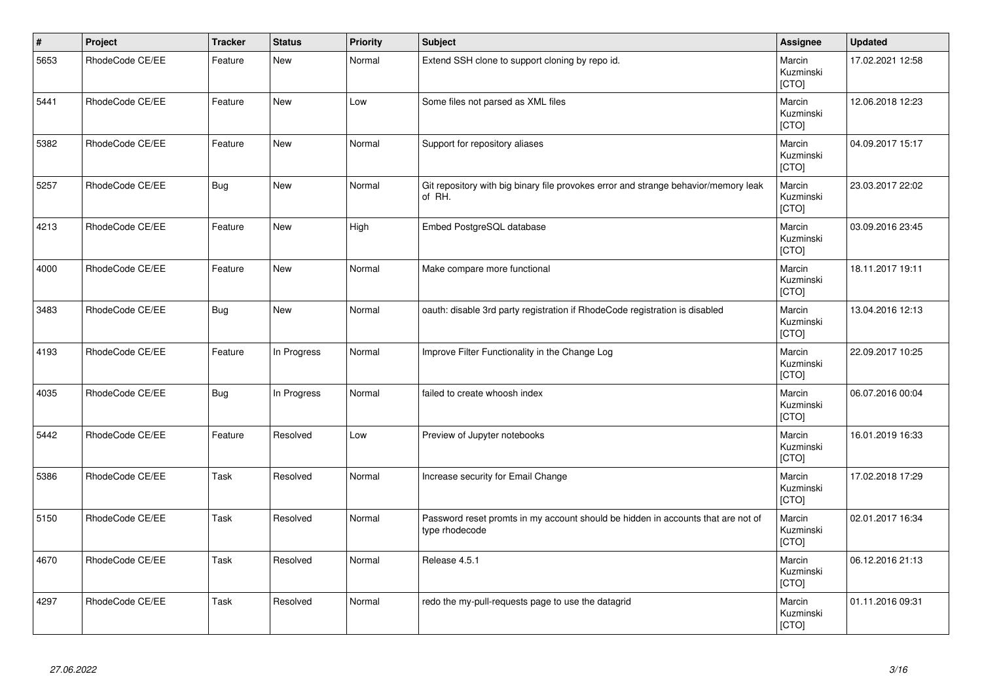| $\vert$ # | Project         | <b>Tracker</b> | <b>Status</b> | <b>Priority</b> | Subject                                                                                            | Assignee                     | <b>Updated</b>   |
|-----------|-----------------|----------------|---------------|-----------------|----------------------------------------------------------------------------------------------------|------------------------------|------------------|
| 5653      | RhodeCode CE/EE | Feature        | <b>New</b>    | Normal          | Extend SSH clone to support cloning by repo id.                                                    | Marcin<br>Kuzminski<br>[CTO] | 17.02.2021 12:58 |
| 5441      | RhodeCode CE/EE | Feature        | New           | Low             | Some files not parsed as XML files                                                                 | Marcin<br>Kuzminski<br>[CTO] | 12.06.2018 12:23 |
| 5382      | RhodeCode CE/EE | Feature        | <b>New</b>    | Normal          | Support for repository aliases                                                                     | Marcin<br>Kuzminski<br>[CTO] | 04.09.2017 15:17 |
| 5257      | RhodeCode CE/EE | <b>Bug</b>     | New           | Normal          | Git repository with big binary file provokes error and strange behavior/memory leak<br>of RH.      | Marcin<br>Kuzminski<br>[CTO] | 23.03.2017 22:02 |
| 4213      | RhodeCode CE/EE | Feature        | <b>New</b>    | High            | Embed PostgreSQL database                                                                          | Marcin<br>Kuzminski<br>[CTO] | 03.09.2016 23:45 |
| 4000      | RhodeCode CE/EE | Feature        | <b>New</b>    | Normal          | Make compare more functional                                                                       | Marcin<br>Kuzminski<br>[CTO] | 18.11.2017 19:11 |
| 3483      | RhodeCode CE/EE | Bug            | New           | Normal          | oauth: disable 3rd party registration if RhodeCode registration is disabled                        | Marcin<br>Kuzminski<br>[CTO] | 13.04.2016 12:13 |
| 4193      | RhodeCode CE/EE | Feature        | In Progress   | Normal          | Improve Filter Functionality in the Change Log                                                     | Marcin<br>Kuzminski<br>[CTO] | 22.09.2017 10:25 |
| 4035      | RhodeCode CE/EE | Bug            | In Progress   | Normal          | failed to create whoosh index                                                                      | Marcin<br>Kuzminski<br>[CTO] | 06.07.2016 00:04 |
| 5442      | RhodeCode CE/EE | Feature        | Resolved      | Low             | Preview of Jupyter notebooks                                                                       | Marcin<br>Kuzminski<br>[CTO] | 16.01.2019 16:33 |
| 5386      | RhodeCode CE/EE | Task           | Resolved      | Normal          | Increase security for Email Change                                                                 | Marcin<br>Kuzminski<br>[CTO] | 17.02.2018 17:29 |
| 5150      | RhodeCode CE/EE | Task           | Resolved      | Normal          | Password reset promts in my account should be hidden in accounts that are not of<br>type rhodecode | Marcin<br>Kuzminski<br>[CTO] | 02.01.2017 16:34 |
| 4670      | RhodeCode CE/EE | Task           | Resolved      | Normal          | Release 4.5.1                                                                                      | Marcin<br>Kuzminski<br>[CTO] | 06.12.2016 21:13 |
| 4297      | RhodeCode CE/EE | Task           | Resolved      | Normal          | redo the my-pull-requests page to use the datagrid                                                 | Marcin<br>Kuzminski<br>[CTO] | 01.11.2016 09:31 |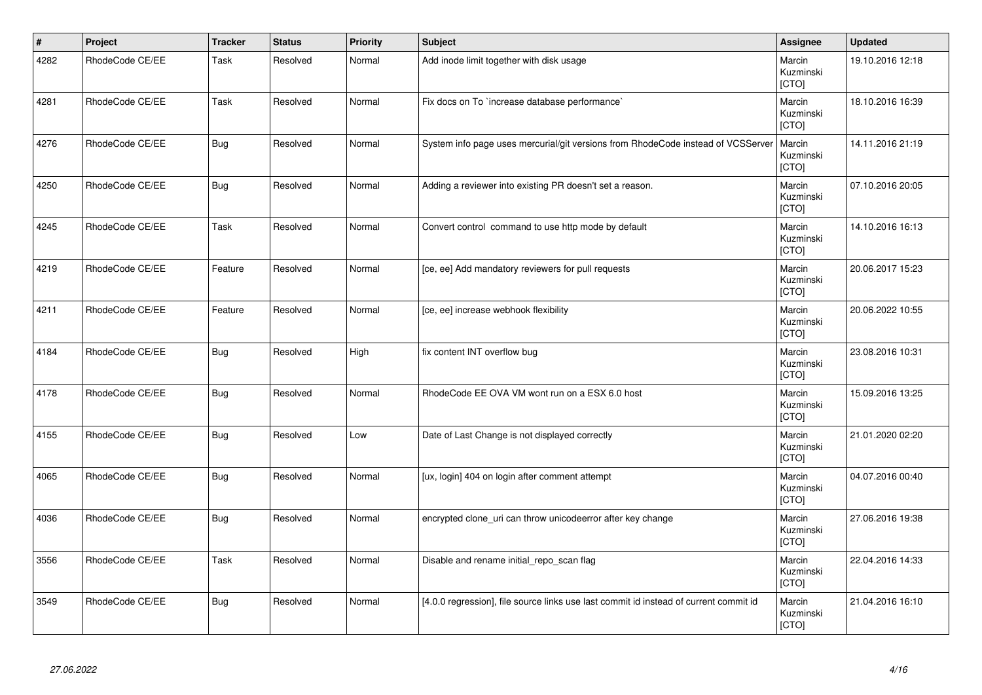| $\vert$ # | Project         | <b>Tracker</b> | <b>Status</b> | Priority | Subject                                                                               | <b>Assignee</b>              | <b>Updated</b>   |
|-----------|-----------------|----------------|---------------|----------|---------------------------------------------------------------------------------------|------------------------------|------------------|
| 4282      | RhodeCode CE/EE | Task           | Resolved      | Normal   | Add inode limit together with disk usage                                              | Marcin<br>Kuzminski<br>[CTO] | 19.10.2016 12:18 |
| 4281      | RhodeCode CE/EE | Task           | Resolved      | Normal   | Fix docs on To `increase database performance`                                        | Marcin<br>Kuzminski<br>[CTO] | 18.10.2016 16:39 |
| 4276      | RhodeCode CE/EE | Bug            | Resolved      | Normal   | System info page uses mercurial/git versions from RhodeCode instead of VCSServer      | Marcin<br>Kuzminski<br>[CTO] | 14.11.2016 21:19 |
| 4250      | RhodeCode CE/EE | <b>Bug</b>     | Resolved      | Normal   | Adding a reviewer into existing PR doesn't set a reason.                              | Marcin<br>Kuzminski<br>[CTO] | 07.10.2016 20:05 |
| 4245      | RhodeCode CE/EE | Task           | Resolved      | Normal   | Convert control command to use http mode by default                                   | Marcin<br>Kuzminski<br>[CTO] | 14.10.2016 16:13 |
| 4219      | RhodeCode CE/EE | Feature        | Resolved      | Normal   | [ce, ee] Add mandatory reviewers for pull requests                                    | Marcin<br>Kuzminski<br>[CTO] | 20.06.2017 15:23 |
| 4211      | RhodeCode CE/EE | Feature        | Resolved      | Normal   | [ce, ee] increase webhook flexibility                                                 | Marcin<br>Kuzminski<br>[CTO] | 20.06.2022 10:55 |
| 4184      | RhodeCode CE/EE | <b>Bug</b>     | Resolved      | High     | fix content INT overflow bug                                                          | Marcin<br>Kuzminski<br>[CTO] | 23.08.2016 10:31 |
| 4178      | RhodeCode CE/EE | Bug            | Resolved      | Normal   | RhodeCode EE OVA VM wont run on a ESX 6.0 host                                        | Marcin<br>Kuzminski<br>[CTO] | 15.09.2016 13:25 |
| 4155      | RhodeCode CE/EE | <b>Bug</b>     | Resolved      | Low      | Date of Last Change is not displayed correctly                                        | Marcin<br>Kuzminski<br>[CTO] | 21.01.2020 02:20 |
| 4065      | RhodeCode CE/EE | <b>Bug</b>     | Resolved      | Normal   | [ux, login] 404 on login after comment attempt                                        | Marcin<br>Kuzminski<br>[CTO] | 04.07.2016 00:40 |
| 4036      | RhodeCode CE/EE | <b>Bug</b>     | Resolved      | Normal   | encrypted clone_uri can throw unicodeerror after key change                           | Marcin<br>Kuzminski<br>[CTO] | 27.06.2016 19:38 |
| 3556      | RhodeCode CE/EE | Task           | Resolved      | Normal   | Disable and rename initial_repo_scan flag                                             | Marcin<br>Kuzminski<br>[CTO] | 22.04.2016 14:33 |
| 3549      | RhodeCode CE/EE | <b>Bug</b>     | Resolved      | Normal   | [4.0.0 regression], file source links use last commit id instead of current commit id | Marcin<br>Kuzminski<br>[CTO] | 21.04.2016 16:10 |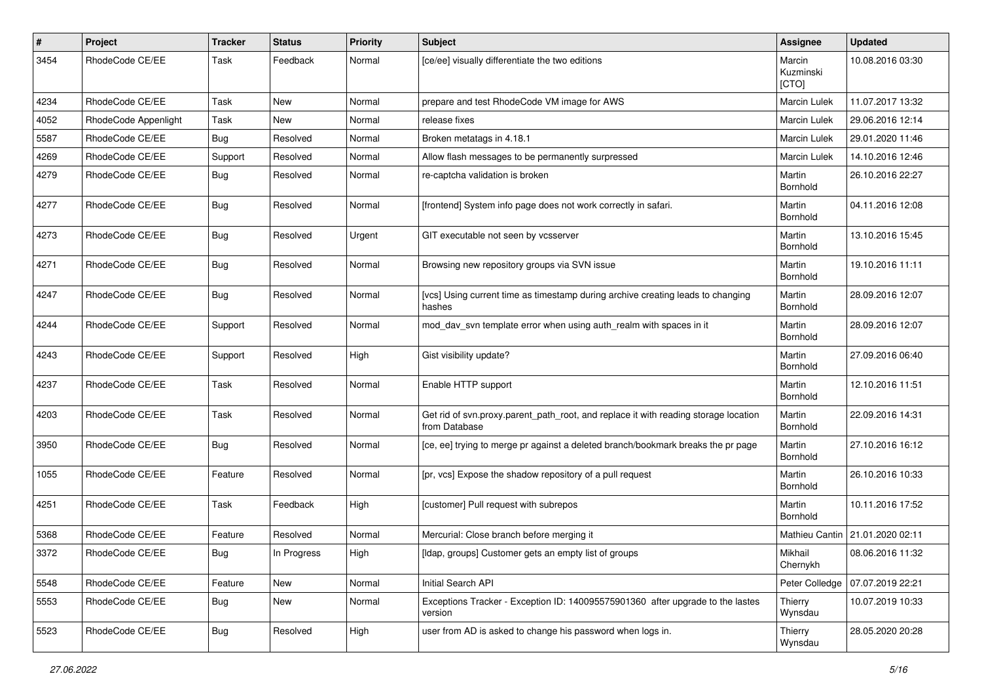| $\pmb{\#}$ | Project              | <b>Tracker</b> | <b>Status</b> | <b>Priority</b> | <b>Subject</b>                                                                                       | Assignee                     | <b>Updated</b>                    |
|------------|----------------------|----------------|---------------|-----------------|------------------------------------------------------------------------------------------------------|------------------------------|-----------------------------------|
| 3454       | RhodeCode CE/EE      | Task           | Feedback      | Normal          | [ce/ee] visually differentiate the two editions                                                      | Marcin<br>Kuzminski<br>[CTO] | 10.08.2016 03:30                  |
| 4234       | RhodeCode CE/EE      | Task           | New           | Normal          | prepare and test RhodeCode VM image for AWS                                                          | <b>Marcin Lulek</b>          | 11.07.2017 13:32                  |
| 4052       | RhodeCode Appenlight | Task           | <b>New</b>    | Normal          | release fixes                                                                                        | Marcin Lulek                 | 29.06.2016 12:14                  |
| 5587       | RhodeCode CE/EE      | Bug            | Resolved      | Normal          | Broken metatags in 4.18.1                                                                            | Marcin Lulek                 | 29.01.2020 11:46                  |
| 4269       | RhodeCode CE/EE      | Support        | Resolved      | Normal          | Allow flash messages to be permanently surpressed                                                    | <b>Marcin Lulek</b>          | 14.10.2016 12:46                  |
| 4279       | RhodeCode CE/EE      | Bug            | Resolved      | Normal          | re-captcha validation is broken                                                                      | Martin<br>Bornhold           | 26.10.2016 22:27                  |
| 4277       | RhodeCode CE/EE      | <b>Bug</b>     | Resolved      | Normal          | [frontend] System info page does not work correctly in safari.                                       | Martin<br>Bornhold           | 04.11.2016 12:08                  |
| 4273       | RhodeCode CE/EE      | Bug            | Resolved      | Urgent          | GIT executable not seen by vcsserver                                                                 | Martin<br>Bornhold           | 13.10.2016 15:45                  |
| 4271       | RhodeCode CE/EE      | Bug            | Resolved      | Normal          | Browsing new repository groups via SVN issue                                                         | Martin<br>Bornhold           | 19.10.2016 11:11                  |
| 4247       | RhodeCode CE/EE      | Bug            | Resolved      | Normal          | [vcs] Using current time as timestamp during archive creating leads to changing<br>hashes            | Martin<br>Bornhold           | 28.09.2016 12:07                  |
| 4244       | RhodeCode CE/EE      | Support        | Resolved      | Normal          | mod day syn template error when using auth realm with spaces in it                                   | Martin<br>Bornhold           | 28.09.2016 12:07                  |
| 4243       | RhodeCode CE/EE      | Support        | Resolved      | High            | Gist visibility update?                                                                              | Martin<br>Bornhold           | 27.09.2016 06:40                  |
| 4237       | RhodeCode CE/EE      | Task           | Resolved      | Normal          | Enable HTTP support                                                                                  | Martin<br>Bornhold           | 12.10.2016 11:51                  |
| 4203       | RhodeCode CE/EE      | Task           | Resolved      | Normal          | Get rid of svn.proxy.parent_path_root, and replace it with reading storage location<br>from Database | Martin<br>Bornhold           | 22.09.2016 14:31                  |
| 3950       | RhodeCode CE/EE      | Bug            | Resolved      | Normal          | [ce, ee] trying to merge pr against a deleted branch/bookmark breaks the pr page                     | Martin<br>Bornhold           | 27.10.2016 16:12                  |
| 1055       | RhodeCode CE/EE      | Feature        | Resolved      | Normal          | [pr, vcs] Expose the shadow repository of a pull request                                             | Martin<br>Bornhold           | 26.10.2016 10:33                  |
| 4251       | RhodeCode CE/EE      | Task           | Feedback      | High            | [customer] Pull request with subrepos                                                                | Martin<br>Bornhold           | 10.11.2016 17:52                  |
| 5368       | RhodeCode CE/EE      | Feature        | Resolved      | Normal          | Mercurial: Close branch before merging it                                                            |                              | Mathieu Cantin   21.01.2020 02:11 |
| 3372       | RhodeCode CE/EE      | Bug            | In Progress   | High            | [Idap, groups] Customer gets an empty list of groups                                                 | Mikhail<br>Chernykh          | 08.06.2016 11:32                  |
| 5548       | RhodeCode CE/EE      | Feature        | New           | Normal          | Initial Search API                                                                                   | Peter Colledge               | 07.07.2019 22:21                  |
| 5553       | RhodeCode CE/EE      | Bug            | New           | Normal          | Exceptions Tracker - Exception ID: 140095575901360 after upgrade to the lastes<br>version            | Thierry<br>Wynsdau           | 10.07.2019 10:33                  |
| 5523       | RhodeCode CE/EE      | Bug            | Resolved      | High            | user from AD is asked to change his password when logs in.                                           | Thierry<br>Wynsdau           | 28.05.2020 20:28                  |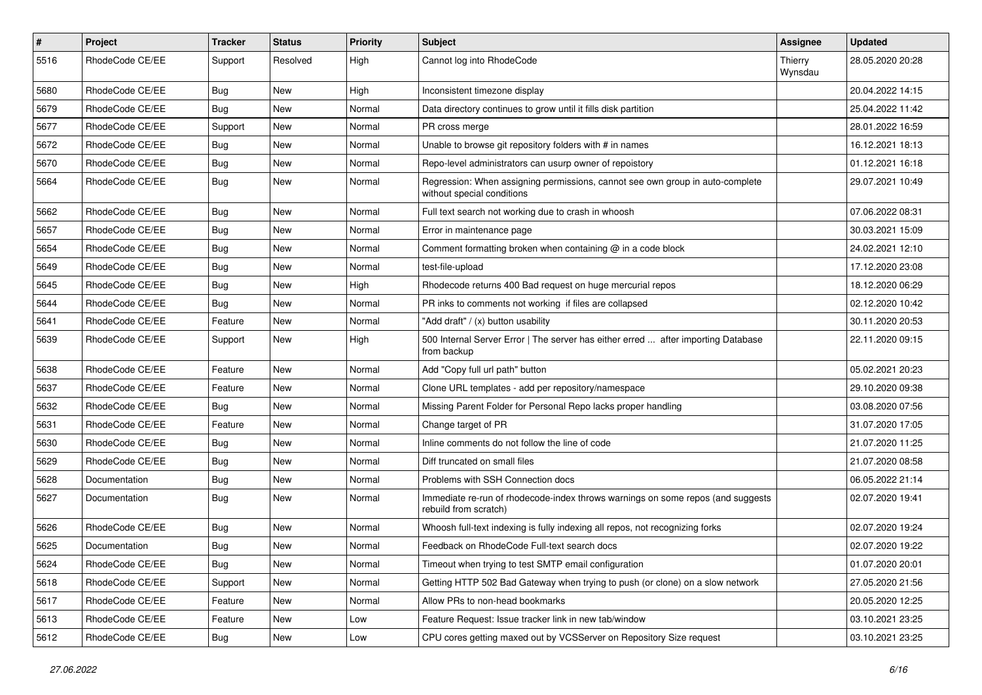| $\pmb{\#}$ | Project         | <b>Tracker</b> | <b>Status</b> | <b>Priority</b> | <b>Subject</b>                                                                                              | <b>Assignee</b>    | <b>Updated</b>   |
|------------|-----------------|----------------|---------------|-----------------|-------------------------------------------------------------------------------------------------------------|--------------------|------------------|
| 5516       | RhodeCode CE/EE | Support        | Resolved      | High            | Cannot log into RhodeCode                                                                                   | Thierry<br>Wynsdau | 28.05.2020 20:28 |
| 5680       | RhodeCode CE/EE | Bug            | New           | High            | Inconsistent timezone display                                                                               |                    | 20.04.2022 14:15 |
| 5679       | RhodeCode CE/EE | Bug            | New           | Normal          | Data directory continues to grow until it fills disk partition                                              |                    | 25.04.2022 11:42 |
| 5677       | RhodeCode CE/EE | Support        | New           | Normal          | PR cross merge                                                                                              |                    | 28.01.2022 16:59 |
| 5672       | RhodeCode CE/EE | <b>Bug</b>     | New           | Normal          | Unable to browse git repository folders with # in names                                                     |                    | 16.12.2021 18:13 |
| 5670       | RhodeCode CE/EE | Bug            | <b>New</b>    | Normal          | Repo-level administrators can usurp owner of repoistory                                                     |                    | 01.12.2021 16:18 |
| 5664       | RhodeCode CE/EE | Bug            | New           | Normal          | Regression: When assigning permissions, cannot see own group in auto-complete<br>without special conditions |                    | 29.07.2021 10:49 |
| 5662       | RhodeCode CE/EE | Bug            | New           | Normal          | Full text search not working due to crash in whoosh                                                         |                    | 07.06.2022 08:31 |
| 5657       | RhodeCode CE/EE | <b>Bug</b>     | New           | Normal          | Error in maintenance page                                                                                   |                    | 30.03.2021 15:09 |
| 5654       | RhodeCode CE/EE | <b>Bug</b>     | New           | Normal          | Comment formatting broken when containing $@$ in a code block                                               |                    | 24.02.2021 12:10 |
| 5649       | RhodeCode CE/EE | Bug            | New           | Normal          | test-file-upload                                                                                            |                    | 17.12.2020 23:08 |
| 5645       | RhodeCode CE/EE | <b>Bug</b>     | New           | High            | Rhodecode returns 400 Bad request on huge mercurial repos                                                   |                    | 18.12.2020 06:29 |
| 5644       | RhodeCode CE/EE | Bug            | <b>New</b>    | Normal          | PR inks to comments not working if files are collapsed                                                      |                    | 02.12.2020 10:42 |
| 5641       | RhodeCode CE/EE | Feature        | New           | Normal          | "Add draft" / (x) button usability                                                                          |                    | 30.11.2020 20:53 |
| 5639       | RhodeCode CE/EE | Support        | New           | High            | 500 Internal Server Error   The server has either erred  after importing Database<br>from backup            |                    | 22.11.2020 09:15 |
| 5638       | RhodeCode CE/EE | Feature        | New           | Normal          | Add "Copy full url path" button                                                                             |                    | 05.02.2021 20:23 |
| 5637       | RhodeCode CE/EE | Feature        | <b>New</b>    | Normal          | Clone URL templates - add per repository/namespace                                                          |                    | 29.10.2020 09:38 |
| 5632       | RhodeCode CE/EE | Bug            | New           | Normal          | Missing Parent Folder for Personal Repo lacks proper handling                                               |                    | 03.08.2020 07:56 |
| 5631       | RhodeCode CE/EE | Feature        | New           | Normal          | Change target of PR                                                                                         |                    | 31.07.2020 17:05 |
| 5630       | RhodeCode CE/EE | Bug            | New           | Normal          | Inline comments do not follow the line of code                                                              |                    | 21.07.2020 11:25 |
| 5629       | RhodeCode CE/EE | Bug            | New           | Normal          | Diff truncated on small files                                                                               |                    | 21.07.2020 08:58 |
| 5628       | Documentation   | Bug            | New           | Normal          | Problems with SSH Connection docs                                                                           |                    | 06.05.2022 21:14 |
| 5627       | Documentation   | Bug            | New           | Normal          | Immediate re-run of rhodecode-index throws warnings on some repos (and suggests<br>rebuild from scratch)    |                    | 02.07.2020 19:41 |
| 5626       | RhodeCode CE/EE | <b>Bug</b>     | <b>New</b>    | Normal          | Whoosh full-text indexing is fully indexing all repos, not recognizing forks                                |                    | 02.07.2020 19:24 |
| 5625       | Documentation   | Bug            | New           | Normal          | Feedback on RhodeCode Full-text search docs                                                                 |                    | 02.07.2020 19:22 |
| 5624       | RhodeCode CE/EE | <b>Bug</b>     | New           | Normal          | Timeout when trying to test SMTP email configuration                                                        |                    | 01.07.2020 20:01 |
| 5618       | RhodeCode CE/EE | Support        | <b>New</b>    | Normal          | Getting HTTP 502 Bad Gateway when trying to push (or clone) on a slow network                               |                    | 27.05.2020 21:56 |
| 5617       | RhodeCode CE/EE | Feature        | New           | Normal          | Allow PRs to non-head bookmarks                                                                             |                    | 20.05.2020 12:25 |
| 5613       | RhodeCode CE/EE | Feature        | New           | Low             | Feature Request: Issue tracker link in new tab/window                                                       |                    | 03.10.2021 23:25 |
| 5612       | RhodeCode CE/EE | <b>Bug</b>     | New           | Low             | CPU cores getting maxed out by VCSServer on Repository Size request                                         |                    | 03.10.2021 23:25 |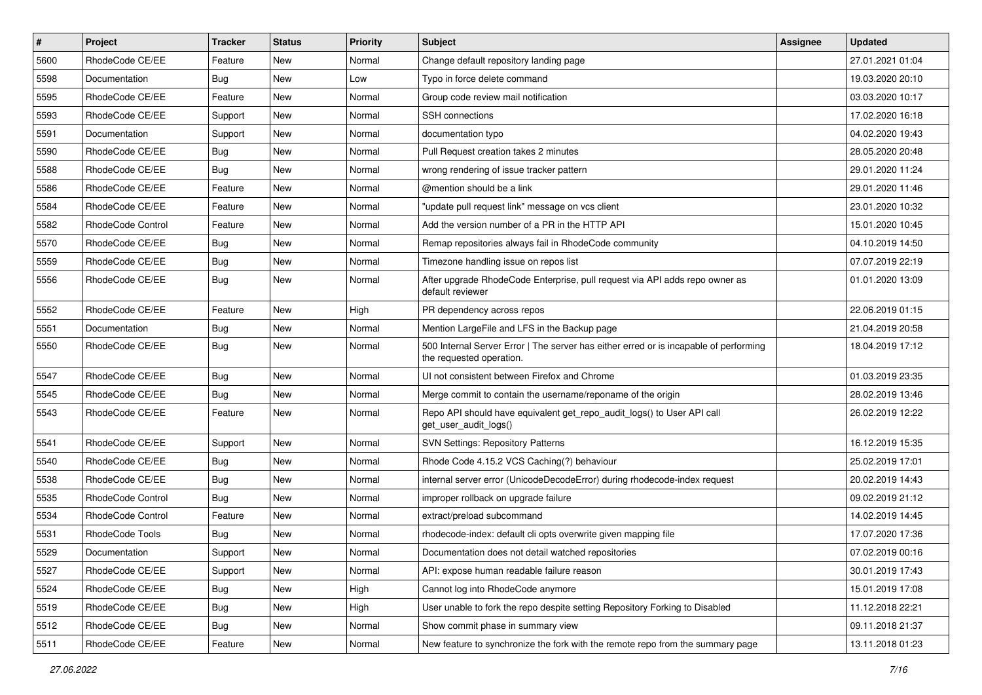| $\#$ | Project           | Tracker    | <b>Status</b> | <b>Priority</b> | <b>Subject</b>                                                                                                    | Assignee | <b>Updated</b>   |
|------|-------------------|------------|---------------|-----------------|-------------------------------------------------------------------------------------------------------------------|----------|------------------|
| 5600 | RhodeCode CE/EE   | Feature    | New           | Normal          | Change default repository landing page                                                                            |          | 27.01.2021 01:04 |
| 5598 | Documentation     | Bug        | <b>New</b>    | Low             | Typo in force delete command                                                                                      |          | 19.03.2020 20:10 |
| 5595 | RhodeCode CE/EE   | Feature    | New           | Normal          | Group code review mail notification                                                                               |          | 03.03.2020 10:17 |
| 5593 | RhodeCode CE/EE   | Support    | New           | Normal          | <b>SSH</b> connections                                                                                            |          | 17.02.2020 16:18 |
| 5591 | Documentation     | Support    | New           | Normal          | documentation typo                                                                                                |          | 04.02.2020 19:43 |
| 5590 | RhodeCode CE/EE   | <b>Bug</b> | New           | Normal          | Pull Request creation takes 2 minutes                                                                             |          | 28.05.2020 20:48 |
| 5588 | RhodeCode CE/EE   | Bug        | New           | Normal          | wrong rendering of issue tracker pattern                                                                          |          | 29.01.2020 11:24 |
| 5586 | RhodeCode CE/EE   | Feature    | New           | Normal          | @mention should be a link                                                                                         |          | 29.01.2020 11:46 |
| 5584 | RhodeCode CE/EE   | Feature    | New           | Normal          | "update pull request link" message on vcs client                                                                  |          | 23.01.2020 10:32 |
| 5582 | RhodeCode Control | Feature    | New           | Normal          | Add the version number of a PR in the HTTP API                                                                    |          | 15.01.2020 10:45 |
| 5570 | RhodeCode CE/EE   | <b>Bug</b> | New           | Normal          | Remap repositories always fail in RhodeCode community                                                             |          | 04.10.2019 14:50 |
| 5559 | RhodeCode CE/EE   | <b>Bug</b> | New           | Normal          | Timezone handling issue on repos list                                                                             |          | 07.07.2019 22:19 |
| 5556 | RhodeCode CE/EE   | Bug        | New           | Normal          | After upgrade RhodeCode Enterprise, pull request via API adds repo owner as<br>default reviewer                   |          | 01.01.2020 13:09 |
| 5552 | RhodeCode CE/EE   | Feature    | New           | High            | PR dependency across repos                                                                                        |          | 22.06.2019 01:15 |
| 5551 | Documentation     | <b>Bug</b> | New           | Normal          | Mention LargeFile and LFS in the Backup page                                                                      |          | 21.04.2019 20:58 |
| 5550 | RhodeCode CE/EE   | <b>Bug</b> | New           | Normal          | 500 Internal Server Error   The server has either erred or is incapable of performing<br>the requested operation. |          | 18.04.2019 17:12 |
| 5547 | RhodeCode CE/EE   | <b>Bug</b> | New           | Normal          | UI not consistent between Firefox and Chrome                                                                      |          | 01.03.2019 23:35 |
| 5545 | RhodeCode CE/EE   | <b>Bug</b> | New           | Normal          | Merge commit to contain the username/reponame of the origin                                                       |          | 28.02.2019 13:46 |
| 5543 | RhodeCode CE/EE   | Feature    | New           | Normal          | Repo API should have equivalent get_repo_audit_logs() to User API call<br>get_user_audit_logs()                   |          | 26.02.2019 12:22 |
| 5541 | RhodeCode CE/EE   | Support    | <b>New</b>    | Normal          | <b>SVN Settings: Repository Patterns</b>                                                                          |          | 16.12.2019 15:35 |
| 5540 | RhodeCode CE/EE   | Bug        | New           | Normal          | Rhode Code 4.15.2 VCS Caching(?) behaviour                                                                        |          | 25.02.2019 17:01 |
| 5538 | RhodeCode CE/EE   | <b>Bug</b> | New           | Normal          | internal server error (UnicodeDecodeError) during rhodecode-index request                                         |          | 20.02.2019 14:43 |
| 5535 | RhodeCode Control | <b>Bug</b> | New           | Normal          | improper rollback on upgrade failure                                                                              |          | 09.02.2019 21:12 |
| 5534 | RhodeCode Control | Feature    | New           | Normal          | extract/preload subcommand                                                                                        |          | 14.02.2019 14:45 |
| 5531 | RhodeCode Tools   | <b>Bug</b> | New           | Normal          | rhodecode-index: default cli opts overwrite given mapping file                                                    |          | 17.07.2020 17:36 |
| 5529 | Documentation     | Support    | New           | Normal          | Documentation does not detail watched repositories                                                                |          | 07.02.2019 00:16 |
| 5527 | RhodeCode CE/EE   | Support    | New           | Normal          | API: expose human readable failure reason                                                                         |          | 30.01.2019 17:43 |
| 5524 | RhodeCode CE/EE   | Bug        | New           | High            | Cannot log into RhodeCode anymore                                                                                 |          | 15.01.2019 17:08 |
| 5519 | RhodeCode CE/EE   | <b>Bug</b> | New           | High            | User unable to fork the repo despite setting Repository Forking to Disabled                                       |          | 11.12.2018 22:21 |
| 5512 | RhodeCode CE/EE   | Bug        | New           | Normal          | Show commit phase in summary view                                                                                 |          | 09.11.2018 21:37 |
| 5511 | RhodeCode CE/EE   | Feature    | New           | Normal          | New feature to synchronize the fork with the remote repo from the summary page                                    |          | 13.11.2018 01:23 |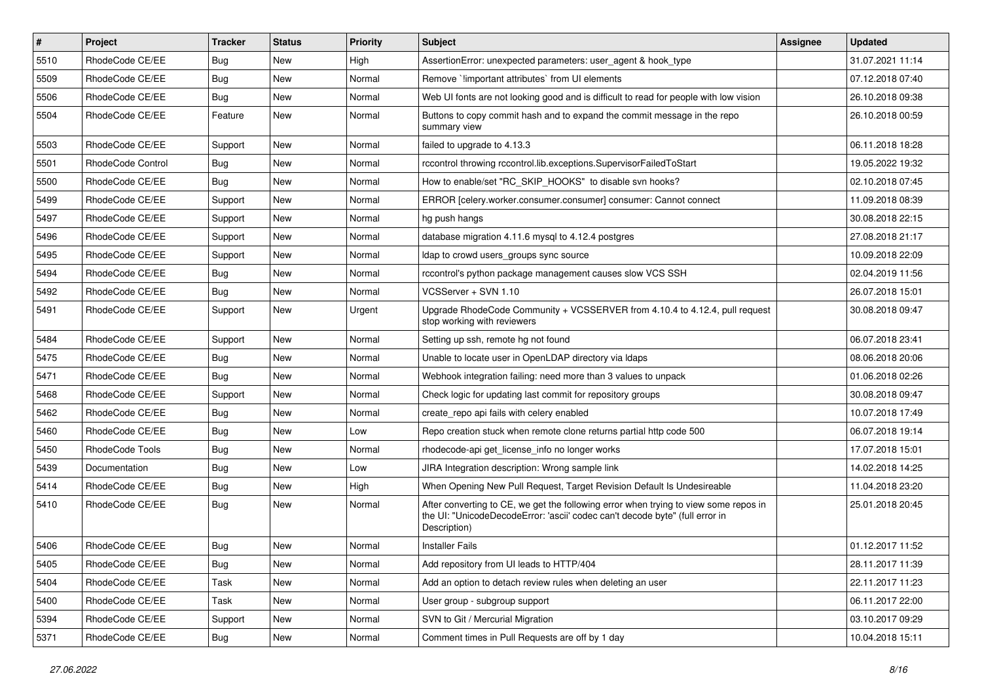| $\sharp$ | Project                  | <b>Tracker</b> | <b>Status</b> | Priority | <b>Subject</b>                                                                                                                                                                       | <b>Assignee</b> | <b>Updated</b>   |
|----------|--------------------------|----------------|---------------|----------|--------------------------------------------------------------------------------------------------------------------------------------------------------------------------------------|-----------------|------------------|
| 5510     | RhodeCode CE/EE          | <b>Bug</b>     | New           | High     | AssertionError: unexpected parameters: user agent & hook type                                                                                                                        |                 | 31.07.2021 11:14 |
| 5509     | RhodeCode CE/EE          | Bug            | New           | Normal   | Remove `!important attributes` from UI elements                                                                                                                                      |                 | 07.12.2018 07:40 |
| 5506     | RhodeCode CE/EE          | <b>Bug</b>     | New           | Normal   | Web UI fonts are not looking good and is difficult to read for people with low vision                                                                                                |                 | 26.10.2018 09:38 |
| 5504     | RhodeCode CE/EE          | Feature        | <b>New</b>    | Normal   | Buttons to copy commit hash and to expand the commit message in the repo<br>summary view                                                                                             |                 | 26.10.2018 00:59 |
| 5503     | RhodeCode CE/EE          | Support        | <b>New</b>    | Normal   | failed to upgrade to 4.13.3                                                                                                                                                          |                 | 06.11.2018 18:28 |
| 5501     | <b>RhodeCode Control</b> | <b>Bug</b>     | New           | Normal   | rccontrol throwing rccontrol.lib.exceptions.SupervisorFailedToStart                                                                                                                  |                 | 19.05.2022 19:32 |
| 5500     | RhodeCode CE/EE          | Bug            | New           | Normal   | How to enable/set "RC_SKIP_HOOKS" to disable svn hooks?                                                                                                                              |                 | 02.10.2018 07:45 |
| 5499     | RhodeCode CE/EE          | Support        | New           | Normal   | ERROR [celery.worker.consumer.consumer] consumer: Cannot connect                                                                                                                     |                 | 11.09.2018 08:39 |
| 5497     | RhodeCode CE/EE          | Support        | <b>New</b>    | Normal   | hg push hangs                                                                                                                                                                        |                 | 30.08.2018 22:15 |
| 5496     | RhodeCode CE/EE          | Support        | New           | Normal   | database migration 4.11.6 mysql to 4.12.4 postgres                                                                                                                                   |                 | 27.08.2018 21:17 |
| 5495     | RhodeCode CE/EE          | Support        | New           | Normal   | Idap to crowd users_groups sync source                                                                                                                                               |                 | 10.09.2018 22:09 |
| 5494     | RhodeCode CE/EE          | Bug            | <b>New</b>    | Normal   | rccontrol's python package management causes slow VCS SSH                                                                                                                            |                 | 02.04.2019 11:56 |
| 5492     | RhodeCode CE/EE          | Bug            | New           | Normal   | VCSServer + SVN 1.10                                                                                                                                                                 |                 | 26.07.2018 15:01 |
| 5491     | RhodeCode CE/EE          | Support        | New           | Urgent   | Upgrade RhodeCode Community + VCSSERVER from 4.10.4 to 4.12.4, pull request<br>stop working with reviewers                                                                           |                 | 30.08.2018 09:47 |
| 5484     | RhodeCode CE/EE          | Support        | <b>New</b>    | Normal   | Setting up ssh, remote hg not found                                                                                                                                                  |                 | 06.07.2018 23:41 |
| 5475     | RhodeCode CE/EE          | Bug            | New           | Normal   | Unable to locate user in OpenLDAP directory via Idaps                                                                                                                                |                 | 08.06.2018 20:06 |
| 5471     | RhodeCode CE/EE          | Bug            | New           | Normal   | Webhook integration failing: need more than 3 values to unpack                                                                                                                       |                 | 01.06.2018 02:26 |
| 5468     | RhodeCode CE/EE          | Support        | New           | Normal   | Check logic for updating last commit for repository groups                                                                                                                           |                 | 30.08.2018 09:47 |
| 5462     | RhodeCode CE/EE          | <b>Bug</b>     | <b>New</b>    | Normal   | create_repo api fails with celery enabled                                                                                                                                            |                 | 10.07.2018 17:49 |
| 5460     | RhodeCode CE/EE          | Bug            | New           | Low      | Repo creation stuck when remote clone returns partial http code 500                                                                                                                  |                 | 06.07.2018 19:14 |
| 5450     | RhodeCode Tools          | <b>Bug</b>     | <b>New</b>    | Normal   | rhodecode-api get license info no longer works                                                                                                                                       |                 | 17.07.2018 15:01 |
| 5439     | Documentation            | Bug            | New           | Low      | JIRA Integration description: Wrong sample link                                                                                                                                      |                 | 14.02.2018 14:25 |
| 5414     | RhodeCode CE/EE          | Bug            | New           | High     | When Opening New Pull Request, Target Revision Default Is Undesireable                                                                                                               |                 | 11.04.2018 23:20 |
| 5410     | RhodeCode CE/EE          | Bug            | New           | Normal   | After converting to CE, we get the following error when trying to view some repos in<br>the UI: "UnicodeDecodeError: 'ascii' codec can't decode byte" (full error in<br>Description) |                 | 25.01.2018 20:45 |
| 5406     | RhodeCode CE/EE          | Bug            | <b>New</b>    | Normal   | <b>Installer Fails</b>                                                                                                                                                               |                 | 01.12.2017 11:52 |
| 5405     | RhodeCode CE/EE          | Bug            | New           | Normal   | Add repository from UI leads to HTTP/404                                                                                                                                             |                 | 28.11.2017 11:39 |
| 5404     | RhodeCode CE/EE          | Task           | New           | Normal   | Add an option to detach review rules when deleting an user                                                                                                                           |                 | 22.11.2017 11:23 |
| 5400     | RhodeCode CE/EE          | Task           | New           | Normal   | User group - subgroup support                                                                                                                                                        |                 | 06.11.2017 22:00 |
| 5394     | RhodeCode CE/EE          | Support        | New           | Normal   | SVN to Git / Mercurial Migration                                                                                                                                                     |                 | 03.10.2017 09:29 |
| 5371     | RhodeCode CE/EE          | Bug            | New           | Normal   | Comment times in Pull Requests are off by 1 day                                                                                                                                      |                 | 10.04.2018 15:11 |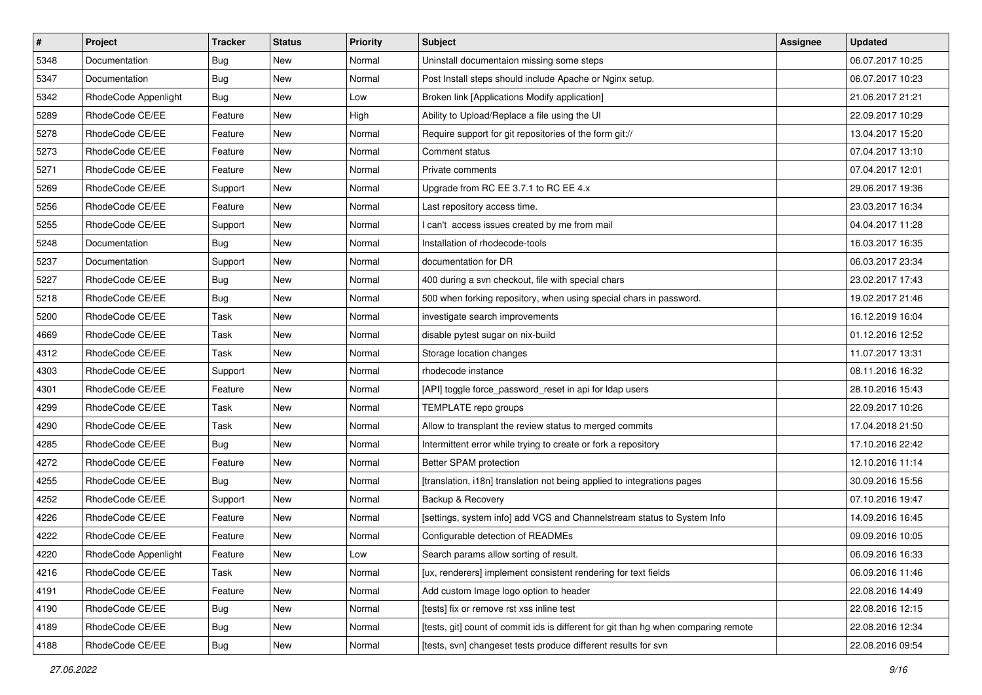| $\pmb{\#}$ | <b>Project</b>       | <b>Tracker</b> | <b>Status</b> | <b>Priority</b> | <b>Subject</b>                                                                      | Assignee | <b>Updated</b>   |
|------------|----------------------|----------------|---------------|-----------------|-------------------------------------------------------------------------------------|----------|------------------|
| 5348       | Documentation        | <b>Bug</b>     | New           | Normal          | Uninstall documentaion missing some steps                                           |          | 06.07.2017 10:25 |
| 5347       | Documentation        | <b>Bug</b>     | New           | Normal          | Post Install steps should include Apache or Nginx setup.                            |          | 06.07.2017 10:23 |
| 5342       | RhodeCode Appenlight | Bug            | New           | Low             | Broken link [Applications Modify application]                                       |          | 21.06.2017 21:21 |
| 5289       | RhodeCode CE/EE      | Feature        | New           | High            | Ability to Upload/Replace a file using the UI                                       |          | 22.09.2017 10:29 |
| 5278       | RhodeCode CE/EE      | Feature        | <b>New</b>    | Normal          | Require support for git repositories of the form git://                             |          | 13.04.2017 15:20 |
| 5273       | RhodeCode CE/EE      | Feature        | New           | Normal          | Comment status                                                                      |          | 07.04.2017 13:10 |
| 5271       | RhodeCode CE/EE      | Feature        | New           | Normal          | Private comments                                                                    |          | 07.04.2017 12:01 |
| 5269       | RhodeCode CE/EE      | Support        | New           | Normal          | Upgrade from RC EE 3.7.1 to RC EE 4.x                                               |          | 29.06.2017 19:36 |
| 5256       | RhodeCode CE/EE      | Feature        | New           | Normal          | Last repository access time.                                                        |          | 23.03.2017 16:34 |
| 5255       | RhodeCode CE/EE      | Support        | <b>New</b>    | Normal          | I can't access issues created by me from mail                                       |          | 04.04.2017 11:28 |
| 5248       | Documentation        | Bug            | New           | Normal          | Installation of rhodecode-tools                                                     |          | 16.03.2017 16:35 |
| 5237       | Documentation        | Support        | New           | Normal          | documentation for DR                                                                |          | 06.03.2017 23:34 |
| 5227       | RhodeCode CE/EE      | Bug            | New           | Normal          | 400 during a svn checkout, file with special chars                                  |          | 23.02.2017 17:43 |
| 5218       | RhodeCode CE/EE      | <b>Bug</b>     | New           | Normal          | 500 when forking repository, when using special chars in password.                  |          | 19.02.2017 21:46 |
| 5200       | RhodeCode CE/EE      | Task           | New           | Normal          | investigate search improvements                                                     |          | 16.12.2019 16:04 |
| 4669       | RhodeCode CE/EE      | Task           | New           | Normal          | disable pytest sugar on nix-build                                                   |          | 01.12.2016 12:52 |
| 4312       | RhodeCode CE/EE      | Task           | New           | Normal          | Storage location changes                                                            |          | 11.07.2017 13:31 |
| 4303       | RhodeCode CE/EE      | Support        | <b>New</b>    | Normal          | rhodecode instance                                                                  |          | 08.11.2016 16:32 |
| 4301       | RhodeCode CE/EE      | Feature        | New           | Normal          | [API] toggle force_password_reset in api for Idap users                             |          | 28.10.2016 15:43 |
| 4299       | RhodeCode CE/EE      | Task           | New           | Normal          | TEMPLATE repo groups                                                                |          | 22.09.2017 10:26 |
| 4290       | RhodeCode CE/EE      | Task           | New           | Normal          | Allow to transplant the review status to merged commits                             |          | 17.04.2018 21:50 |
| 4285       | RhodeCode CE/EE      | <b>Bug</b>     | New           | Normal          | Intermittent error while trying to create or fork a repository                      |          | 17.10.2016 22:42 |
| 4272       | RhodeCode CE/EE      | Feature        | <b>New</b>    | Normal          | Better SPAM protection                                                              |          | 12.10.2016 11:14 |
| 4255       | RhodeCode CE/EE      | Bug            | New           | Normal          | [translation, i18n] translation not being applied to integrations pages             |          | 30.09.2016 15:56 |
| 4252       | RhodeCode CE/EE      | Support        | New           | Normal          | Backup & Recovery                                                                   |          | 07.10.2016 19:47 |
| 4226       | RhodeCode CE/EE      | Feature        | New           | Normal          | [settings, system info] add VCS and Channelstream status to System Info             |          | 14.09.2016 16:45 |
| 4222       | RhodeCode CE/EE      | Feature        | New           | Normal          | Configurable detection of READMEs                                                   |          | 09.09.2016 10:05 |
| 4220       | RhodeCode Appenlight | Feature        | New           | Low             | Search params allow sorting of result.                                              |          | 06.09.2016 16:33 |
| 4216       | RhodeCode CE/EE      | Task           | New           | Normal          | [ux, renderers] implement consistent rendering for text fields                      |          | 06.09.2016 11:46 |
| 4191       | RhodeCode CE/EE      | Feature        | New           | Normal          | Add custom Image logo option to header                                              |          | 22.08.2016 14:49 |
| 4190       | RhodeCode CE/EE      | Bug            | New           | Normal          | [tests] fix or remove rst xss inline test                                           |          | 22.08.2016 12:15 |
| 4189       | RhodeCode CE/EE      | Bug            | New           | Normal          | [tests, git] count of commit ids is different for git than hg when comparing remote |          | 22.08.2016 12:34 |
| 4188       | RhodeCode CE/EE      | Bug            | New           | Normal          | [tests, svn] changeset tests produce different results for svn                      |          | 22.08.2016 09:54 |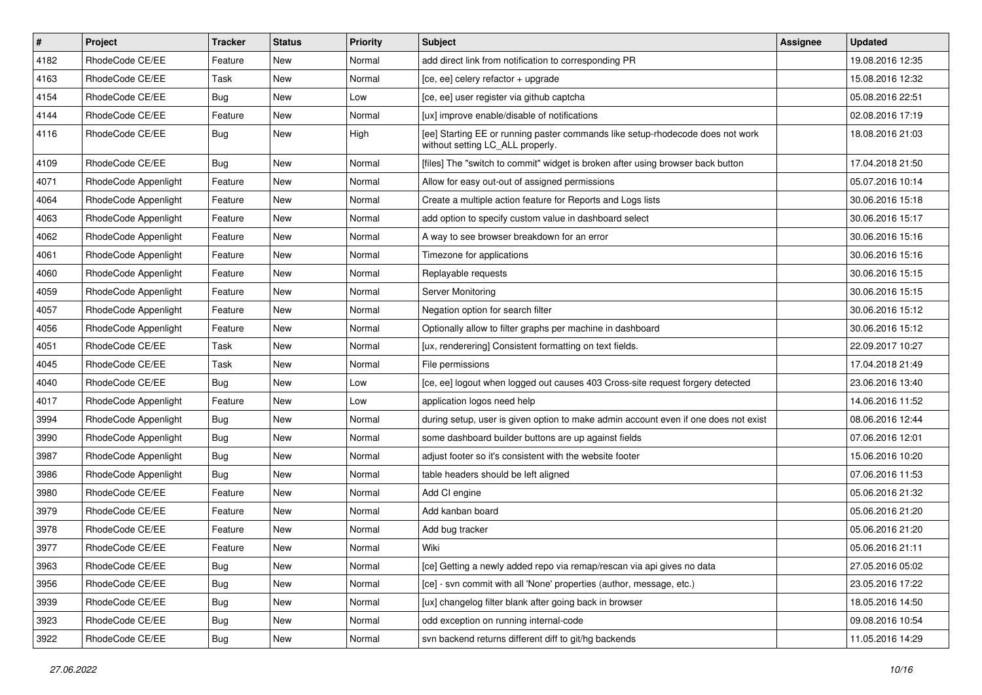| $\pmb{\#}$ | Project              | <b>Tracker</b> | <b>Status</b> | <b>Priority</b> | <b>Subject</b>                                                                                                     | <b>Assignee</b> | <b>Updated</b>   |
|------------|----------------------|----------------|---------------|-----------------|--------------------------------------------------------------------------------------------------------------------|-----------------|------------------|
| 4182       | RhodeCode CE/EE      | Feature        | New           | Normal          | add direct link from notification to corresponding PR                                                              |                 | 19.08.2016 12:35 |
| 4163       | RhodeCode CE/EE      | Task           | New           | Normal          | [ce, ee] celery refactor + upgrade                                                                                 |                 | 15.08.2016 12:32 |
| 4154       | RhodeCode CE/EE      | Bug            | New           | Low             | [ce, ee] user register via github captcha                                                                          |                 | 05.08.2016 22:51 |
| 4144       | RhodeCode CE/EE      | Feature        | New           | Normal          | [ux] improve enable/disable of notifications                                                                       |                 | 02.08.2016 17:19 |
| 4116       | RhodeCode CE/EE      | Bug            | <b>New</b>    | High            | [ee] Starting EE or running paster commands like setup-rhodecode does not work<br>without setting LC_ALL properly. |                 | 18.08.2016 21:03 |
| 4109       | RhodeCode CE/EE      | Bug            | <b>New</b>    | Normal          | [files] The "switch to commit" widget is broken after using browser back button                                    |                 | 17.04.2018 21:50 |
| 4071       | RhodeCode Appenlight | Feature        | New           | Normal          | Allow for easy out-out of assigned permissions                                                                     |                 | 05.07.2016 10:14 |
| 4064       | RhodeCode Appenlight | Feature        | New           | Normal          | Create a multiple action feature for Reports and Logs lists                                                        |                 | 30.06.2016 15:18 |
| 4063       | RhodeCode Appenlight | Feature        | <b>New</b>    | Normal          | add option to specify custom value in dashboard select                                                             |                 | 30.06.2016 15:17 |
| 4062       | RhodeCode Appenlight | Feature        | New           | Normal          | A way to see browser breakdown for an error                                                                        |                 | 30.06.2016 15:16 |
| 4061       | RhodeCode Appenlight | Feature        | New           | Normal          | Timezone for applications                                                                                          |                 | 30.06.2016 15:16 |
| 4060       | RhodeCode Appenlight | Feature        | <b>New</b>    | Normal          | Replayable requests                                                                                                |                 | 30.06.2016 15:15 |
| 4059       | RhodeCode Appenlight | Feature        | New           | Normal          | Server Monitoring                                                                                                  |                 | 30.06.2016 15:15 |
| 4057       | RhodeCode Appenlight | Feature        | <b>New</b>    | Normal          | Negation option for search filter                                                                                  |                 | 30.06.2016 15:12 |
| 4056       | RhodeCode Appenlight | Feature        | New           | Normal          | Optionally allow to filter graphs per machine in dashboard                                                         |                 | 30.06.2016 15:12 |
| 4051       | RhodeCode CE/EE      | Task           | New           | Normal          | [ux, renderering] Consistent formatting on text fields.                                                            |                 | 22.09.2017 10:27 |
| 4045       | RhodeCode CE/EE      | Task           | <b>New</b>    | Normal          | File permissions                                                                                                   |                 | 17.04.2018 21:49 |
| 4040       | RhodeCode CE/EE      | Bug            | New           | Low             | [ce, ee] logout when logged out causes 403 Cross-site request forgery detected                                     |                 | 23.06.2016 13:40 |
| 4017       | RhodeCode Appenlight | Feature        | New           | Low             | application logos need help                                                                                        |                 | 14.06.2016 11:52 |
| 3994       | RhodeCode Appenlight | Bug            | New           | Normal          | during setup, user is given option to make admin account even if one does not exist                                |                 | 08.06.2016 12:44 |
| 3990       | RhodeCode Appenlight | Bug            | New           | Normal          | some dashboard builder buttons are up against fields                                                               |                 | 07.06.2016 12:01 |
| 3987       | RhodeCode Appenlight | <b>Bug</b>     | <b>New</b>    | Normal          | adjust footer so it's consistent with the website footer                                                           |                 | 15.06.2016 10:20 |
| 3986       | RhodeCode Appenlight | Bug            | New           | Normal          | table headers should be left aligned                                                                               |                 | 07.06.2016 11:53 |
| 3980       | RhodeCode CE/EE      | Feature        | New           | Normal          | Add CI engine                                                                                                      |                 | 05.06.2016 21:32 |
| 3979       | RhodeCode CE/EE      | Feature        | <b>New</b>    | Normal          | Add kanban board                                                                                                   |                 | 05.06.2016 21:20 |
| 3978       | RhodeCode CE/EE      | Feature        | New           | Normal          | Add bug tracker                                                                                                    |                 | 05.06.2016 21:20 |
| 3977       | RhodeCode CE/EE      | Feature        | New           | Normal          | Wiki                                                                                                               |                 | 05.06.2016 21:11 |
| 3963       | RhodeCode CE/EE      | <b>Bug</b>     | New           | Normal          | [ce] Getting a newly added repo via remap/rescan via api gives no data                                             |                 | 27.05.2016 05:02 |
| 3956       | RhodeCode CE/EE      | Bug            | New           | Normal          | [ce] - svn commit with all 'None' properties (author, message, etc.)                                               |                 | 23.05.2016 17:22 |
| 3939       | RhodeCode CE/EE      | Bug            | New           | Normal          | [ux] changelog filter blank after going back in browser                                                            |                 | 18.05.2016 14:50 |
| 3923       | RhodeCode CE/EE      | <b>Bug</b>     | New           | Normal          | odd exception on running internal-code                                                                             |                 | 09.08.2016 10:54 |
| 3922       | RhodeCode CE/EE      | <b>Bug</b>     | New           | Normal          | svn backend returns different diff to git/hg backends                                                              |                 | 11.05.2016 14:29 |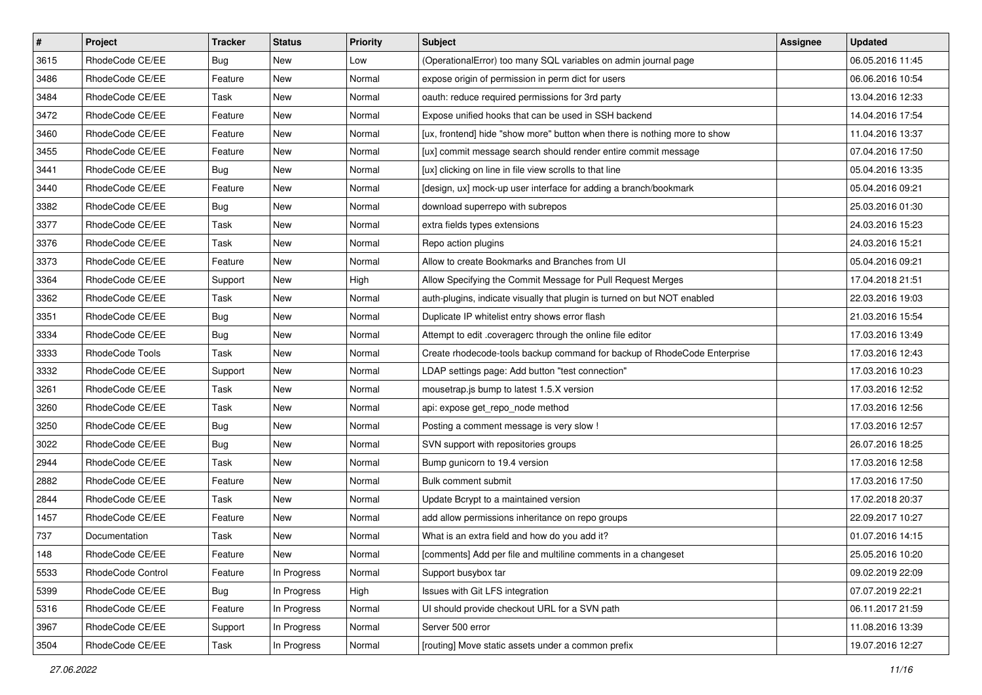| $\pmb{\#}$ | Project                | <b>Tracker</b> | <b>Status</b> | Priority | <b>Subject</b>                                                            | <b>Assignee</b> | <b>Updated</b>   |
|------------|------------------------|----------------|---------------|----------|---------------------------------------------------------------------------|-----------------|------------------|
| 3615       | RhodeCode CE/EE        | Bug            | New           | Low      | (OperationalError) too many SQL variables on admin journal page           |                 | 06.05.2016 11:45 |
| 3486       | RhodeCode CE/EE        | Feature        | New           | Normal   | expose origin of permission in perm dict for users                        |                 | 06.06.2016 10:54 |
| 3484       | RhodeCode CE/EE        | Task           | New           | Normal   | oauth: reduce required permissions for 3rd party                          |                 | 13.04.2016 12:33 |
| 3472       | RhodeCode CE/EE        | Feature        | New           | Normal   | Expose unified hooks that can be used in SSH backend                      |                 | 14.04.2016 17:54 |
| 3460       | RhodeCode CE/EE        | Feature        | <b>New</b>    | Normal   | [ux, frontend] hide "show more" button when there is nothing more to show |                 | 11.04.2016 13:37 |
| 3455       | RhodeCode CE/EE        | Feature        | New           | Normal   | [ux] commit message search should render entire commit message            |                 | 07.04.2016 17:50 |
| 3441       | RhodeCode CE/EE        | Bug            | New           | Normal   | [ux] clicking on line in file view scrolls to that line                   |                 | 05.04.2016 13:35 |
| 3440       | RhodeCode CE/EE        | Feature        | New           | Normal   | [design, ux] mock-up user interface for adding a branch/bookmark          |                 | 05.04.2016 09:21 |
| 3382       | RhodeCode CE/EE        | Bug            | New           | Normal   | download superrepo with subrepos                                          |                 | 25.03.2016 01:30 |
| 3377       | RhodeCode CE/EE        | Task           | New           | Normal   | extra fields types extensions                                             |                 | 24.03.2016 15:23 |
| 3376       | RhodeCode CE/EE        | Task           | New           | Normal   | Repo action plugins                                                       |                 | 24.03.2016 15:21 |
| 3373       | RhodeCode CE/EE        | Feature        | New           | Normal   | Allow to create Bookmarks and Branches from UI                            |                 | 05.04.2016 09:21 |
| 3364       | RhodeCode CE/EE        | Support        | New           | High     | Allow Specifying the Commit Message for Pull Request Merges               |                 | 17.04.2018 21:51 |
| 3362       | RhodeCode CE/EE        | Task           | New           | Normal   | auth-plugins, indicate visually that plugin is turned on but NOT enabled  |                 | 22.03.2016 19:03 |
| 3351       | RhodeCode CE/EE        | Bug            | New           | Normal   | Duplicate IP whitelist entry shows error flash                            |                 | 21.03.2016 15:54 |
| 3334       | RhodeCode CE/EE        | <b>Bug</b>     | New           | Normal   | Attempt to edit .coveragerc through the online file editor                |                 | 17.03.2016 13:49 |
| 3333       | <b>RhodeCode Tools</b> | Task           | New           | Normal   | Create rhodecode-tools backup command for backup of RhodeCode Enterprise  |                 | 17.03.2016 12:43 |
| 3332       | RhodeCode CE/EE        | Support        | <b>New</b>    | Normal   | LDAP settings page: Add button "test connection"                          |                 | 17.03.2016 10:23 |
| 3261       | RhodeCode CE/EE        | Task           | New           | Normal   | mousetrap.js bump to latest 1.5.X version                                 |                 | 17.03.2016 12:52 |
| 3260       | RhodeCode CE/EE        | Task           | New           | Normal   | api: expose get_repo_node method                                          |                 | 17.03.2016 12:56 |
| 3250       | RhodeCode CE/EE        | Bug            | New           | Normal   | Posting a comment message is very slow !                                  |                 | 17.03.2016 12:57 |
| 3022       | RhodeCode CE/EE        | Bug            | New           | Normal   | SVN support with repositories groups                                      |                 | 26.07.2016 18:25 |
| 2944       | RhodeCode CE/EE        | Task           | <b>New</b>    | Normal   | Bump gunicorn to 19.4 version                                             |                 | 17.03.2016 12:58 |
| 2882       | RhodeCode CE/EE        | Feature        | New           | Normal   | Bulk comment submit                                                       |                 | 17.03.2016 17:50 |
| 2844       | RhodeCode CE/EE        | Task           | New           | Normal   | Update Bcrypt to a maintained version                                     |                 | 17.02.2018 20:37 |
| 1457       | RhodeCode CE/EE        | Feature        | New           | Normal   | add allow permissions inheritance on repo groups                          |                 | 22.09.2017 10:27 |
| 737        | Documentation          | Task           | New           | Normal   | What is an extra field and how do you add it?                             |                 | 01.07.2016 14:15 |
| 148        | RhodeCode CE/EE        | Feature        | New           | Normal   | [comments] Add per file and multiline comments in a changeset             |                 | 25.05.2016 10:20 |
| 5533       | RhodeCode Control      | Feature        | In Progress   | Normal   | Support busybox tar                                                       |                 | 09.02.2019 22:09 |
| 5399       | RhodeCode CE/EE        | Bug            | In Progress   | High     | Issues with Git LFS integration                                           |                 | 07.07.2019 22:21 |
| 5316       | RhodeCode CE/EE        | Feature        | In Progress   | Normal   | UI should provide checkout URL for a SVN path                             |                 | 06.11.2017 21:59 |
| 3967       | RhodeCode CE/EE        | Support        | In Progress   | Normal   | Server 500 error                                                          |                 | 11.08.2016 13:39 |
| 3504       | RhodeCode CE/EE        | Task           | In Progress   | Normal   | [routing] Move static assets under a common prefix                        |                 | 19.07.2016 12:27 |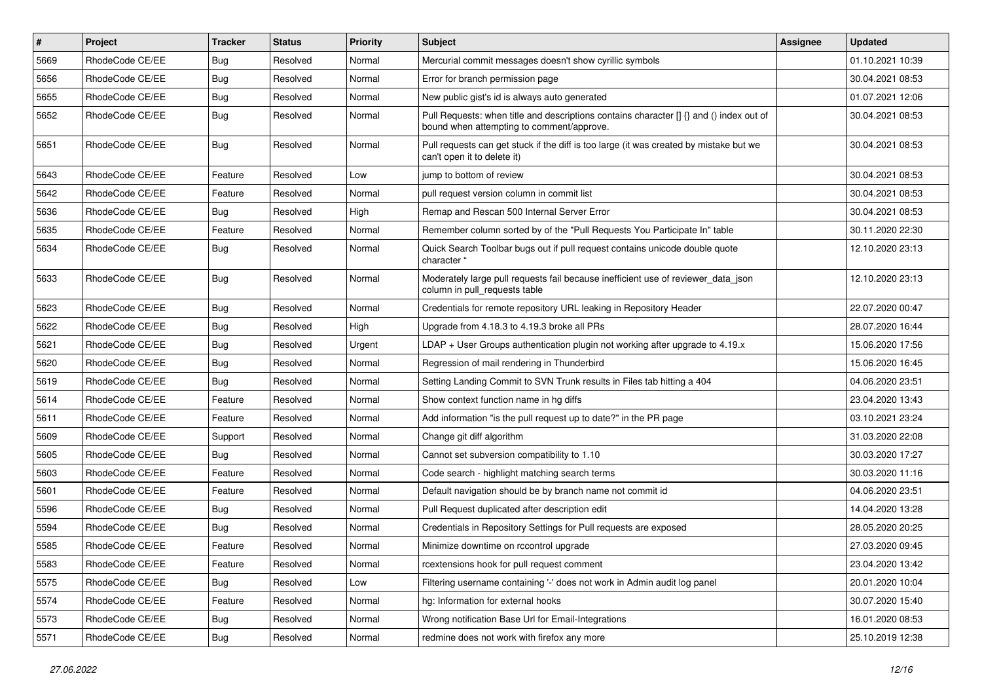| $\pmb{\#}$ | <b>Project</b>  | <b>Tracker</b> | <b>Status</b> | <b>Priority</b> | Subject                                                                                                                              | Assignee | <b>Updated</b>   |
|------------|-----------------|----------------|---------------|-----------------|--------------------------------------------------------------------------------------------------------------------------------------|----------|------------------|
| 5669       | RhodeCode CE/EE | <b>Bug</b>     | Resolved      | Normal          | Mercurial commit messages doesn't show cyrillic symbols                                                                              |          | 01.10.2021 10:39 |
| 5656       | RhodeCode CE/EE | Bug            | Resolved      | Normal          | Error for branch permission page                                                                                                     |          | 30.04.2021 08:53 |
| 5655       | RhodeCode CE/EE | Bug            | Resolved      | Normal          | New public gist's id is always auto generated                                                                                        |          | 01.07.2021 12:06 |
| 5652       | RhodeCode CE/EE | Bug            | Resolved      | Normal          | Pull Requests: when title and descriptions contains character [] {} and () index out of<br>bound when attempting to comment/approve. |          | 30.04.2021 08:53 |
| 5651       | RhodeCode CE/EE | Bug            | Resolved      | Normal          | Pull requests can get stuck if the diff is too large (it was created by mistake but we<br>can't open it to delete it)                |          | 30.04.2021 08:53 |
| 5643       | RhodeCode CE/EE | Feature        | Resolved      | Low             | jump to bottom of review                                                                                                             |          | 30.04.2021 08:53 |
| 5642       | RhodeCode CE/EE | Feature        | Resolved      | Normal          | pull request version column in commit list                                                                                           |          | 30.04.2021 08:53 |
| 5636       | RhodeCode CE/EE | <b>Bug</b>     | Resolved      | High            | Remap and Rescan 500 Internal Server Error                                                                                           |          | 30.04.2021 08:53 |
| 5635       | RhodeCode CE/EE | Feature        | Resolved      | Normal          | Remember column sorted by of the "Pull Requests You Participate In" table                                                            |          | 30.11.2020 22:30 |
| 5634       | RhodeCode CE/EE | <b>Bug</b>     | Resolved      | Normal          | Quick Search Toolbar bugs out if pull request contains unicode double quote<br>character "                                           |          | 12.10.2020 23:13 |
| 5633       | RhodeCode CE/EE | Bug            | Resolved      | Normal          | Moderately large pull requests fail because inefficient use of reviewer_data_json<br>column in pull requests table                   |          | 12.10.2020 23:13 |
| 5623       | RhodeCode CE/EE | Bug            | Resolved      | Normal          | Credentials for remote repository URL leaking in Repository Header                                                                   |          | 22.07.2020 00:47 |
| 5622       | RhodeCode CE/EE | <b>Bug</b>     | Resolved      | High            | Upgrade from 4.18.3 to 4.19.3 broke all PRs                                                                                          |          | 28.07.2020 16:44 |
| 5621       | RhodeCode CE/EE | Bug            | Resolved      | Urgent          | LDAP + User Groups authentication plugin not working after upgrade to 4.19.x                                                         |          | 15.06.2020 17:56 |
| 5620       | RhodeCode CE/EE | Bug            | Resolved      | Normal          | Regression of mail rendering in Thunderbird                                                                                          |          | 15.06.2020 16:45 |
| 5619       | RhodeCode CE/EE | <b>Bug</b>     | Resolved      | Normal          | Setting Landing Commit to SVN Trunk results in Files tab hitting a 404                                                               |          | 04.06.2020 23:51 |
| 5614       | RhodeCode CE/EE | Feature        | Resolved      | Normal          | Show context function name in hg diffs                                                                                               |          | 23.04.2020 13:43 |
| 5611       | RhodeCode CE/EE | Feature        | Resolved      | Normal          | Add information "is the pull request up to date?" in the PR page                                                                     |          | 03.10.2021 23:24 |
| 5609       | RhodeCode CE/EE | Support        | Resolved      | Normal          | Change git diff algorithm                                                                                                            |          | 31.03.2020 22:08 |
| 5605       | RhodeCode CE/EE | Bug            | Resolved      | Normal          | Cannot set subversion compatibility to 1.10                                                                                          |          | 30.03.2020 17:27 |
| 5603       | RhodeCode CE/EE | Feature        | Resolved      | Normal          | Code search - highlight matching search terms                                                                                        |          | 30.03.2020 11:16 |
| 5601       | RhodeCode CE/EE | Feature        | Resolved      | Normal          | Default navigation should be by branch name not commit id                                                                            |          | 04.06.2020 23:51 |
| 5596       | RhodeCode CE/EE | Bug            | Resolved      | Normal          | Pull Request duplicated after description edit                                                                                       |          | 14.04.2020 13:28 |
| 5594       | RhodeCode CE/EE | Bug            | Resolved      | Normal          | Credentials in Repository Settings for Pull requests are exposed                                                                     |          | 28.05.2020 20:25 |
| 5585       | RhodeCode CE/EE | Feature        | Resolved      | Normal          | Minimize downtime on rccontrol upgrade                                                                                               |          | 27.03.2020 09:45 |
| 5583       | RhodeCode CE/EE | Feature        | Resolved      | Normal          | rcextensions hook for pull request comment                                                                                           |          | 23.04.2020 13:42 |
| 5575       | RhodeCode CE/EE | Bug            | Resolved      | Low             | Filtering username containing '-' does not work in Admin audit log panel                                                             |          | 20.01.2020 10:04 |
| 5574       | RhodeCode CE/EE | Feature        | Resolved      | Normal          | hg: Information for external hooks                                                                                                   |          | 30.07.2020 15:40 |
| 5573       | RhodeCode CE/EE | <b>Bug</b>     | Resolved      | Normal          | Wrong notification Base Url for Email-Integrations                                                                                   |          | 16.01.2020 08:53 |
| 5571       | RhodeCode CE/EE | Bug            | Resolved      | Normal          | redmine does not work with firefox any more                                                                                          |          | 25.10.2019 12:38 |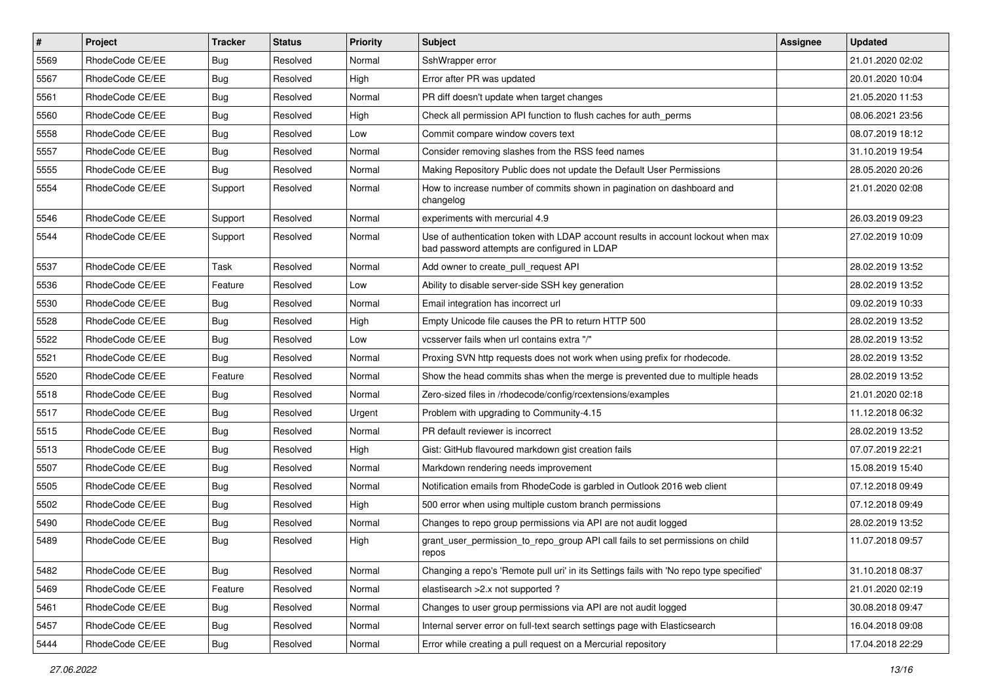| $\vert$ # | Project         | Tracker    | <b>Status</b> | <b>Priority</b> | Subject                                                                                                                           | Assignee | <b>Updated</b>   |
|-----------|-----------------|------------|---------------|-----------------|-----------------------------------------------------------------------------------------------------------------------------------|----------|------------------|
| 5569      | RhodeCode CE/EE | Bug        | Resolved      | Normal          | SshWrapper error                                                                                                                  |          | 21.01.2020 02:02 |
| 5567      | RhodeCode CE/EE | <b>Bug</b> | Resolved      | High            | Error after PR was updated                                                                                                        |          | 20.01.2020 10:04 |
| 5561      | RhodeCode CE/EE | <b>Bug</b> | Resolved      | Normal          | PR diff doesn't update when target changes                                                                                        |          | 21.05.2020 11:53 |
| 5560      | RhodeCode CE/EE | Bug        | Resolved      | High            | Check all permission API function to flush caches for auth perms                                                                  |          | 08.06.2021 23:56 |
| 5558      | RhodeCode CE/EE | <b>Bug</b> | Resolved      | Low             | Commit compare window covers text                                                                                                 |          | 08.07.2019 18:12 |
| 5557      | RhodeCode CE/EE | <b>Bug</b> | Resolved      | Normal          | Consider removing slashes from the RSS feed names                                                                                 |          | 31.10.2019 19:54 |
| 5555      | RhodeCode CE/EE | Bug        | Resolved      | Normal          | Making Repository Public does not update the Default User Permissions                                                             |          | 28.05.2020 20:26 |
| 5554      | RhodeCode CE/EE | Support    | Resolved      | Normal          | How to increase number of commits shown in pagination on dashboard and<br>changelog                                               |          | 21.01.2020 02:08 |
| 5546      | RhodeCode CE/EE | Support    | Resolved      | Normal          | experiments with mercurial 4.9                                                                                                    |          | 26.03.2019 09:23 |
| 5544      | RhodeCode CE/EE | Support    | Resolved      | Normal          | Use of authentication token with LDAP account results in account lockout when max<br>bad password attempts are configured in LDAP |          | 27.02.2019 10:09 |
| 5537      | RhodeCode CE/EE | Task       | Resolved      | Normal          | Add owner to create_pull_request API                                                                                              |          | 28.02.2019 13:52 |
| 5536      | RhodeCode CE/EE | Feature    | Resolved      | Low             | Ability to disable server-side SSH key generation                                                                                 |          | 28.02.2019 13:52 |
| 5530      | RhodeCode CE/EE | <b>Bug</b> | Resolved      | Normal          | Email integration has incorrect url                                                                                               |          | 09.02.2019 10:33 |
| 5528      | RhodeCode CE/EE | <b>Bug</b> | Resolved      | High            | Empty Unicode file causes the PR to return HTTP 500                                                                               |          | 28.02.2019 13:52 |
| 5522      | RhodeCode CE/EE | <b>Bug</b> | Resolved      | Low             | vcsserver fails when url contains extra "/"                                                                                       |          | 28.02.2019 13:52 |
| 5521      | RhodeCode CE/EE | Bug        | Resolved      | Normal          | Proxing SVN http requests does not work when using prefix for rhodecode.                                                          |          | 28.02.2019 13:52 |
| 5520      | RhodeCode CE/EE | Feature    | Resolved      | Normal          | Show the head commits shas when the merge is prevented due to multiple heads                                                      |          | 28.02.2019 13:52 |
| 5518      | RhodeCode CE/EE | Bug        | Resolved      | Normal          | Zero-sized files in /rhodecode/config/rcextensions/examples                                                                       |          | 21.01.2020 02:18 |
| 5517      | RhodeCode CE/EE | Bug        | Resolved      | Urgent          | Problem with upgrading to Community-4.15                                                                                          |          | 11.12.2018 06:32 |
| 5515      | RhodeCode CE/EE | <b>Bug</b> | Resolved      | Normal          | PR default reviewer is incorrect                                                                                                  |          | 28.02.2019 13:52 |
| 5513      | RhodeCode CE/EE | Bug        | Resolved      | High            | Gist: GitHub flavoured markdown gist creation fails                                                                               |          | 07.07.2019 22:21 |
| 5507      | RhodeCode CE/EE | <b>Bug</b> | Resolved      | Normal          | Markdown rendering needs improvement                                                                                              |          | 15.08.2019 15:40 |
| 5505      | RhodeCode CE/EE | <b>Bug</b> | Resolved      | Normal          | Notification emails from RhodeCode is garbled in Outlook 2016 web client                                                          |          | 07.12.2018 09:49 |
| 5502      | RhodeCode CE/EE | <b>Bug</b> | Resolved      | High            | 500 error when using multiple custom branch permissions                                                                           |          | 07.12.2018 09:49 |
| 5490      | RhodeCode CE/EE | <b>Bug</b> | Resolved      | Normal          | Changes to repo group permissions via API are not audit logged                                                                    |          | 28.02.2019 13:52 |
| 5489      | RhodeCode CE/EE | <b>Bug</b> | Resolved      | High            | grant_user_permission_to_repo_group API call fails to set permissions on child<br>repos                                           |          | 11.07.2018 09:57 |
| 5482      | RhodeCode CE/EE | Bug        | Resolved      | Normal          | Changing a repo's 'Remote pull uri' in its Settings fails with 'No repo type specified'                                           |          | 31.10.2018 08:37 |
| 5469      | RhodeCode CE/EE | Feature    | Resolved      | Normal          | elastisearch > 2.x not supported ?                                                                                                |          | 21.01.2020 02:19 |
| 5461      | RhodeCode CE/EE | Bug        | Resolved      | Normal          | Changes to user group permissions via API are not audit logged                                                                    |          | 30.08.2018 09:47 |
| 5457      | RhodeCode CE/EE | Bug        | Resolved      | Normal          | Internal server error on full-text search settings page with Elasticsearch                                                        |          | 16.04.2018 09:08 |
| 5444      | RhodeCode CE/EE | Bug        | Resolved      | Normal          | Error while creating a pull request on a Mercurial repository                                                                     |          | 17.04.2018 22:29 |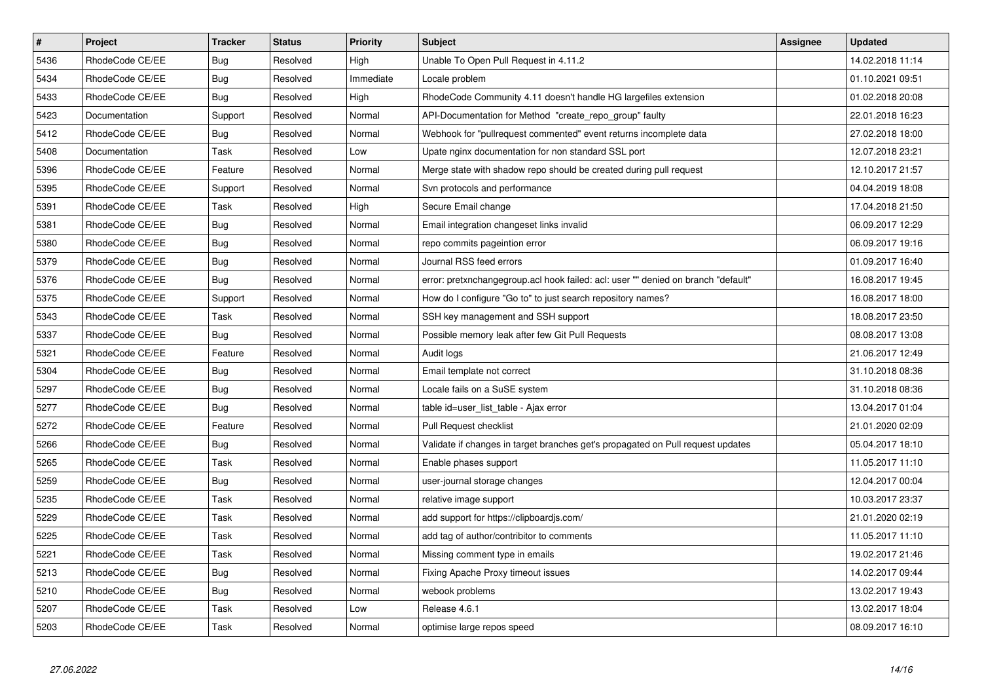| $\overline{\boldsymbol{H}}$ | <b>Project</b>  | <b>Tracker</b> | <b>Status</b> | Priority  | <b>Subject</b>                                                                    | Assignee | <b>Updated</b>   |
|-----------------------------|-----------------|----------------|---------------|-----------|-----------------------------------------------------------------------------------|----------|------------------|
| 5436                        | RhodeCode CE/EE | <b>Bug</b>     | Resolved      | High      | Unable To Open Pull Request in 4.11.2                                             |          | 14.02.2018 11:14 |
| 5434                        | RhodeCode CE/EE | Bug            | Resolved      | Immediate | Locale problem                                                                    |          | 01.10.2021 09:51 |
| 5433                        | RhodeCode CE/EE | Bug            | Resolved      | High      | RhodeCode Community 4.11 doesn't handle HG largefiles extension                   |          | 01.02.2018 20:08 |
| 5423                        | Documentation   | Support        | Resolved      | Normal    | API-Documentation for Method "create repo group" faulty                           |          | 22.01.2018 16:23 |
| 5412                        | RhodeCode CE/EE | <b>Bug</b>     | Resolved      | Normal    | Webhook for "pullrequest commented" event returns incomplete data                 |          | 27.02.2018 18:00 |
| 5408                        | Documentation   | Task           | Resolved      | Low       | Upate nginx documentation for non standard SSL port                               |          | 12.07.2018 23:21 |
| 5396                        | RhodeCode CE/EE | Feature        | Resolved      | Normal    | Merge state with shadow repo should be created during pull request                |          | 12.10.2017 21:57 |
| 5395                        | RhodeCode CE/EE | Support        | Resolved      | Normal    | Svn protocols and performance                                                     |          | 04.04.2019 18:08 |
| 5391                        | RhodeCode CE/EE | Task           | Resolved      | High      | Secure Email change                                                               |          | 17.04.2018 21:50 |
| 5381                        | RhodeCode CE/EE | Bug            | Resolved      | Normal    | Email integration changeset links invalid                                         |          | 06.09.2017 12:29 |
| 5380                        | RhodeCode CE/EE | Bug            | Resolved      | Normal    | repo commits pageintion error                                                     |          | 06.09.2017 19:16 |
| 5379                        | RhodeCode CE/EE | Bug            | Resolved      | Normal    | Journal RSS feed errors                                                           |          | 01.09.2017 16:40 |
| 5376                        | RhodeCode CE/EE | Bug            | Resolved      | Normal    | error: pretxnchangegroup.acl hook failed: acl: user "" denied on branch "default" |          | 16.08.2017 19:45 |
| 5375                        | RhodeCode CE/EE | Support        | Resolved      | Normal    | How do I configure "Go to" to just search repository names?                       |          | 16.08.2017 18:00 |
| 5343                        | RhodeCode CE/EE | Task           | Resolved      | Normal    | SSH key management and SSH support                                                |          | 18.08.2017 23:50 |
| 5337                        | RhodeCode CE/EE | Bug            | Resolved      | Normal    | Possible memory leak after few Git Pull Requests                                  |          | 08.08.2017 13:08 |
| 5321                        | RhodeCode CE/EE | Feature        | Resolved      | Normal    | Audit logs                                                                        |          | 21.06.2017 12:49 |
| 5304                        | RhodeCode CE/EE | <b>Bug</b>     | Resolved      | Normal    | Email template not correct                                                        |          | 31.10.2018 08:36 |
| 5297                        | RhodeCode CE/EE | Bug            | Resolved      | Normal    | Locale fails on a SuSE system                                                     |          | 31.10.2018 08:36 |
| 5277                        | RhodeCode CE/EE | Bug            | Resolved      | Normal    | table id=user list table - Ajax error                                             |          | 13.04.2017 01:04 |
| 5272                        | RhodeCode CE/EE | Feature        | Resolved      | Normal    | Pull Request checklist                                                            |          | 21.01.2020 02:09 |
| 5266                        | RhodeCode CE/EE | Bug            | Resolved      | Normal    | Validate if changes in target branches get's propagated on Pull request updates   |          | 05.04.2017 18:10 |
| 5265                        | RhodeCode CE/EE | Task           | Resolved      | Normal    | Enable phases support                                                             |          | 11.05.2017 11:10 |
| 5259                        | RhodeCode CE/EE | Bug            | Resolved      | Normal    | user-journal storage changes                                                      |          | 12.04.2017 00:04 |
| 5235                        | RhodeCode CE/EE | Task           | Resolved      | Normal    | relative image support                                                            |          | 10.03.2017 23:37 |
| 5229                        | RhodeCode CE/EE | Task           | Resolved      | Normal    | add support for https://clipboardjs.com/                                          |          | 21.01.2020 02:19 |
| 5225                        | RhodeCode CE/EE | Task           | Resolved      | Normal    | add tag of author/contribitor to comments                                         |          | 11.05.2017 11:10 |
| 5221                        | RhodeCode CE/EE | Task           | Resolved      | Normal    | Missing comment type in emails                                                    |          | 19.02.2017 21:46 |
| 5213                        | RhodeCode CE/EE | Bug            | Resolved      | Normal    | Fixing Apache Proxy timeout issues                                                |          | 14.02.2017 09:44 |
| 5210                        | RhodeCode CE/EE | Bug            | Resolved      | Normal    | webook problems                                                                   |          | 13.02.2017 19:43 |
| 5207                        | RhodeCode CE/EE | Task           | Resolved      | Low       | Release 4.6.1                                                                     |          | 13.02.2017 18:04 |
| 5203                        | RhodeCode CE/EE | Task           | Resolved      | Normal    | optimise large repos speed                                                        |          | 08.09.2017 16:10 |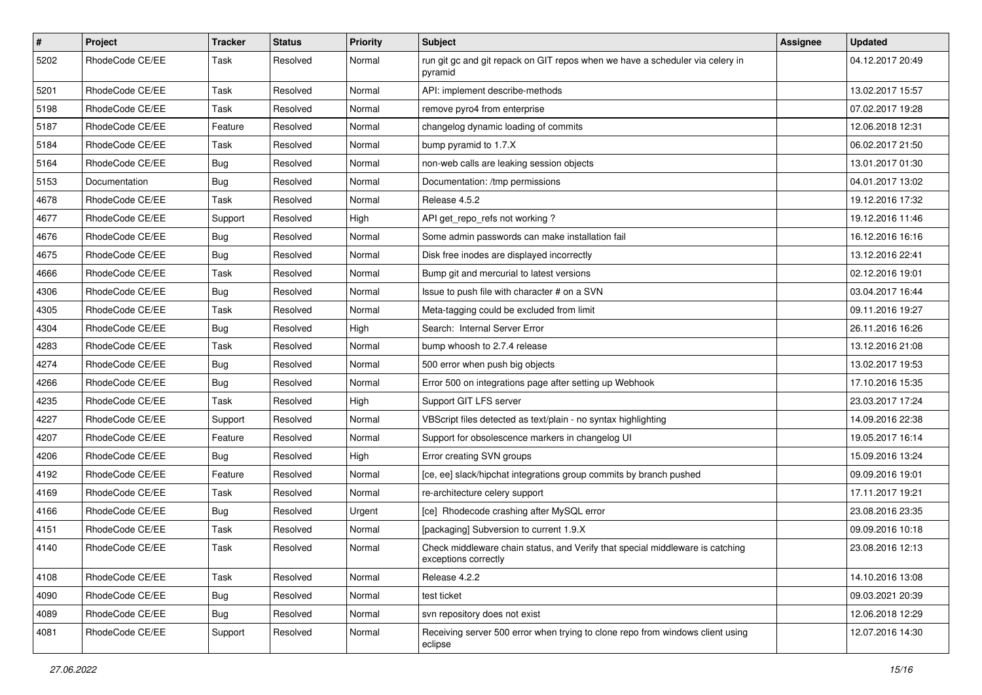| $\pmb{\#}$ | Project         | <b>Tracker</b> | <b>Status</b> | <b>Priority</b> | Subject                                                                                               | <b>Assignee</b> | <b>Updated</b>   |
|------------|-----------------|----------------|---------------|-----------------|-------------------------------------------------------------------------------------------------------|-----------------|------------------|
| 5202       | RhodeCode CE/EE | Task           | Resolved      | Normal          | run git gc and git repack on GIT repos when we have a scheduler via celery in<br>pyramid              |                 | 04.12.2017 20:49 |
| 5201       | RhodeCode CE/EE | Task           | Resolved      | Normal          | API: implement describe-methods                                                                       |                 | 13.02.2017 15:57 |
| 5198       | RhodeCode CE/EE | Task           | Resolved      | Normal          | remove pyro4 from enterprise                                                                          |                 | 07.02.2017 19:28 |
| 5187       | RhodeCode CE/EE | Feature        | Resolved      | Normal          | changelog dynamic loading of commits                                                                  |                 | 12.06.2018 12:31 |
| 5184       | RhodeCode CE/EE | Task           | Resolved      | Normal          | bump pyramid to 1.7.X                                                                                 |                 | 06.02.2017 21:50 |
| 5164       | RhodeCode CE/EE | Bug            | Resolved      | Normal          | non-web calls are leaking session objects                                                             |                 | 13.01.2017 01:30 |
| 5153       | Documentation   | Bug            | Resolved      | Normal          | Documentation: /tmp permissions                                                                       |                 | 04.01.2017 13:02 |
| 4678       | RhodeCode CE/EE | Task           | Resolved      | Normal          | Release 4.5.2                                                                                         |                 | 19.12.2016 17:32 |
| 4677       | RhodeCode CE/EE | Support        | Resolved      | High            | API get_repo_refs not working?                                                                        |                 | 19.12.2016 11:46 |
| 4676       | RhodeCode CE/EE | <b>Bug</b>     | Resolved      | Normal          | Some admin passwords can make installation fail                                                       |                 | 16.12.2016 16:16 |
| 4675       | RhodeCode CE/EE | Bug            | Resolved      | Normal          | Disk free inodes are displayed incorrectly                                                            |                 | 13.12.2016 22:41 |
| 4666       | RhodeCode CE/EE | Task           | Resolved      | Normal          | Bump git and mercurial to latest versions                                                             |                 | 02.12.2016 19:01 |
| 4306       | RhodeCode CE/EE | Bug            | Resolved      | Normal          | Issue to push file with character # on a SVN                                                          |                 | 03.04.2017 16:44 |
| 4305       | RhodeCode CE/EE | Task           | Resolved      | Normal          | Meta-tagging could be excluded from limit                                                             |                 | 09.11.2016 19:27 |
| 4304       | RhodeCode CE/EE | Bug            | Resolved      | High            | Search: Internal Server Error                                                                         |                 | 26.11.2016 16:26 |
| 4283       | RhodeCode CE/EE | Task           | Resolved      | Normal          | bump whoosh to 2.7.4 release                                                                          |                 | 13.12.2016 21:08 |
| 4274       | RhodeCode CE/EE | Bug            | Resolved      | Normal          | 500 error when push big objects                                                                       |                 | 13.02.2017 19:53 |
| 4266       | RhodeCode CE/EE | Bug            | Resolved      | Normal          | Error 500 on integrations page after setting up Webhook                                               |                 | 17.10.2016 15:35 |
| 4235       | RhodeCode CE/EE | Task           | Resolved      | High            | Support GIT LFS server                                                                                |                 | 23.03.2017 17:24 |
| 4227       | RhodeCode CE/EE | Support        | Resolved      | Normal          | VBScript files detected as text/plain - no syntax highlighting                                        |                 | 14.09.2016 22:38 |
| 4207       | RhodeCode CE/EE | Feature        | Resolved      | Normal          | Support for obsolescence markers in changelog UI                                                      |                 | 19.05.2017 16:14 |
| 4206       | RhodeCode CE/EE | Bug            | Resolved      | High            | Error creating SVN groups                                                                             |                 | 15.09.2016 13:24 |
| 4192       | RhodeCode CE/EE | Feature        | Resolved      | Normal          | [ce, ee] slack/hipchat integrations group commits by branch pushed                                    |                 | 09.09.2016 19:01 |
| 4169       | RhodeCode CE/EE | Task           | Resolved      | Normal          | re-architecture celery support                                                                        |                 | 17.11.2017 19:21 |
| 4166       | RhodeCode CE/EE | Bug            | Resolved      | Urgent          | [ce] Rhodecode crashing after MySQL error                                                             |                 | 23.08.2016 23:35 |
| 4151       | RhodeCode CE/EE | Task           | Resolved      | Normal          | [packaging] Subversion to current 1.9.X                                                               |                 | 09.09.2016 10:18 |
| 4140       | RhodeCode CE/EE | Task           | Resolved      | Normal          | Check middleware chain status, and Verify that special middleware is catching<br>exceptions correctly |                 | 23.08.2016 12:13 |
| 4108       | RhodeCode CE/EE | Task           | Resolved      | Normal          | Release 4.2.2                                                                                         |                 | 14.10.2016 13:08 |
| 4090       | RhodeCode CE/EE | <b>Bug</b>     | Resolved      | Normal          | test ticket                                                                                           |                 | 09.03.2021 20:39 |
| 4089       | RhodeCode CE/EE | Bug            | Resolved      | Normal          | svn repository does not exist                                                                         |                 | 12.06.2018 12:29 |
| 4081       | RhodeCode CE/EE | Support        | Resolved      | Normal          | Receiving server 500 error when trying to clone repo from windows client using<br>eclipse             |                 | 12.07.2016 14:30 |